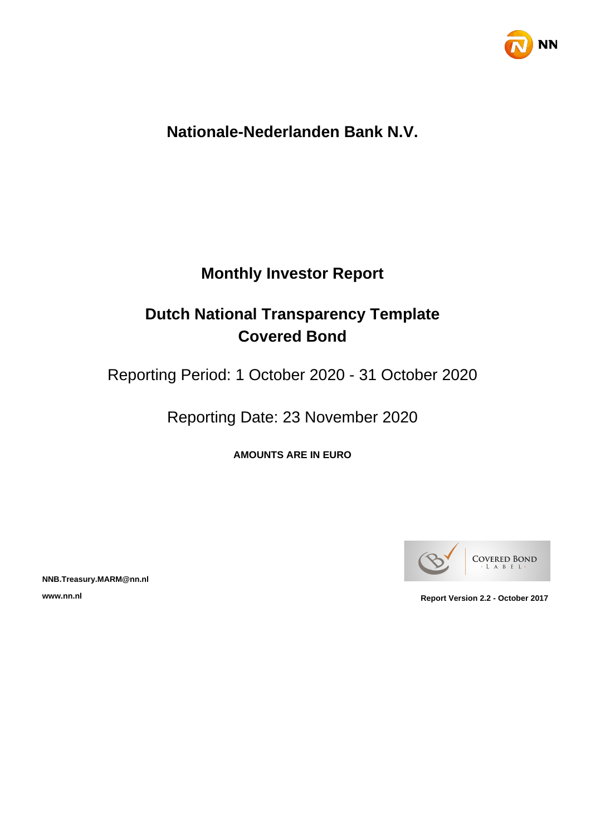

## **Nationale-Nederlanden Bank N.V.**

## **Monthly Investor Report**

## **Dutch National Transparency Template Covered Bond**

Reporting Period: 1 October 2020 - 31 October 2020

Reporting Date: 23 November 2020

**AMOUNTS ARE IN EURO**



**NNB.Treasury.MARM@nn.nl**

**www.nn.nl Report Version 2.2 - October 2017**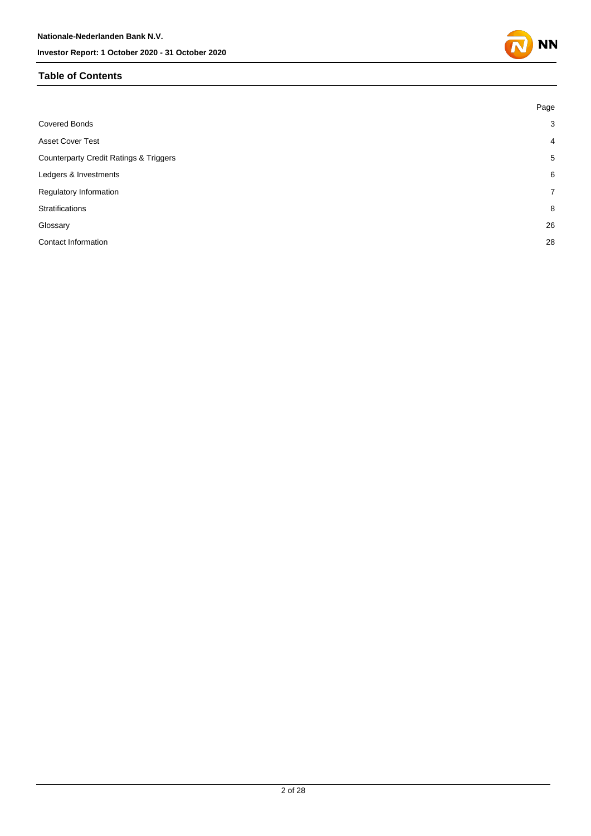#### **Table of Contents**

|                                                   | Page           |
|---------------------------------------------------|----------------|
| <b>Covered Bonds</b>                              | $\mathbf{3}$   |
| <b>Asset Cover Test</b>                           | $\overline{4}$ |
| <b>Counterparty Credit Ratings &amp; Triggers</b> | 5              |
| Ledgers & Investments                             | 6              |
| Regulatory Information                            | $\overline{7}$ |
| <b>Stratifications</b>                            | 8              |
| Glossary                                          | 26             |
| Contact Information                               | 28             |

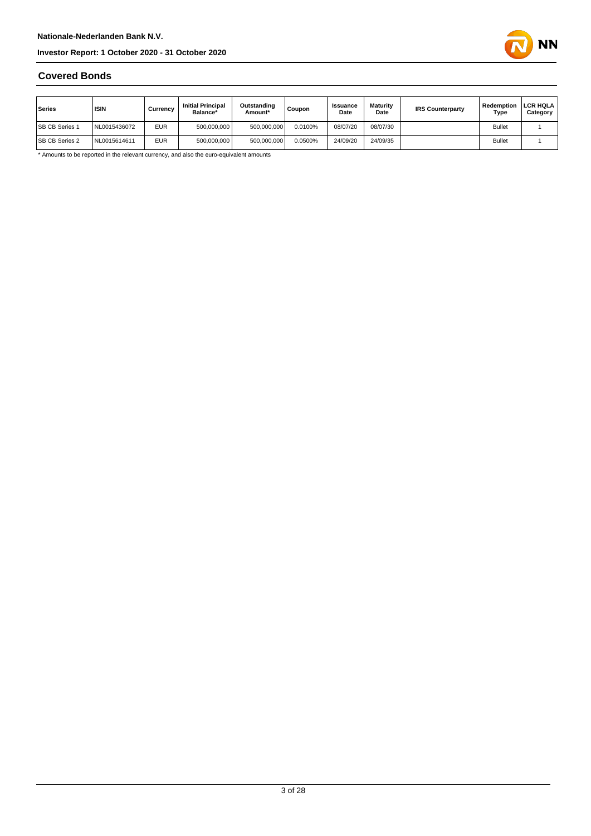

#### **Covered Bonds**

| Series                | <b>ISIN</b>  | Currencv   | <b>Initial Principal</b><br>Balance* | Outstanding<br>Amount* | <b>Coupon</b> | <b>Issuance</b><br>Date | <b>Maturity</b><br>Date | <b>IRS Counterparty</b> | Redemption<br>Type | <b>LCR HQLA</b><br>Category |
|-----------------------|--------------|------------|--------------------------------------|------------------------|---------------|-------------------------|-------------------------|-------------------------|--------------------|-----------------------------|
| <b>SB CB Series 1</b> | VL0015436072 | <b>EUR</b> | 500.000.000                          | 500.000.000            | 0.0100%       | 08/07/20                | 08/07/30                |                         | <b>Bullet</b>      |                             |
| <b>SB CB Series 2</b> | NL0015614611 | <b>EUR</b> | 500,000,000                          | 500.000.000            | 0.0500%       | 24/09/20                | 24/09/35                |                         | <b>Bullet</b>      |                             |

\* Amounts to be reported in the relevant currency, and also the euro-equivalent amounts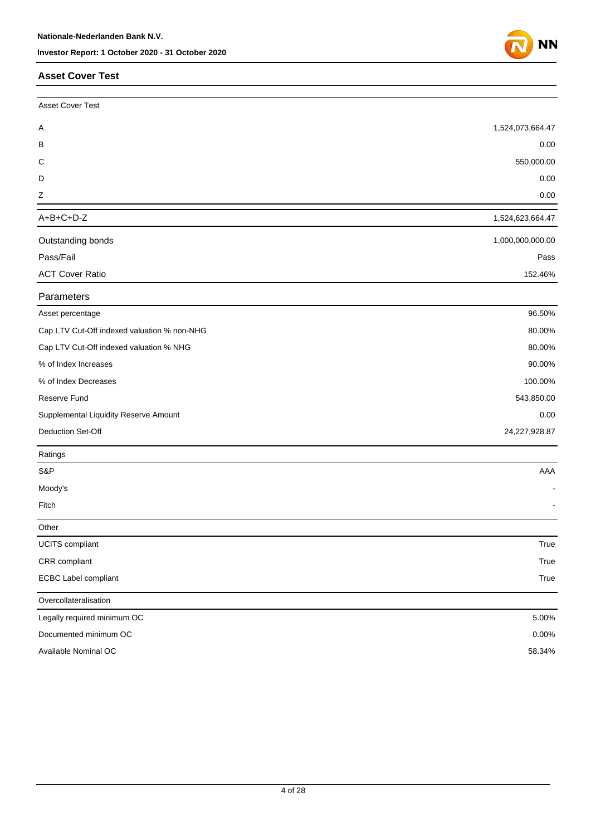#### **Asset Cover Test**

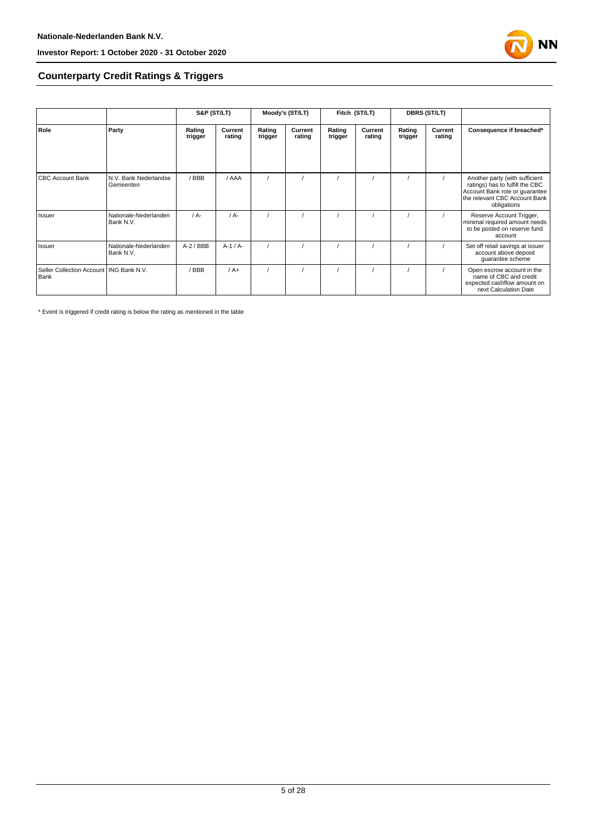

#### **Counterparty Credit Ratings & Triggers**

|                                                   |                                    | S&P (ST/LT)       |                   |                   | Moody's (ST/LT)   |                   | Fitch (ST/LT)     |                   | <b>DBRS (ST/LT)</b> |                                                                                                                                                     |  |
|---------------------------------------------------|------------------------------------|-------------------|-------------------|-------------------|-------------------|-------------------|-------------------|-------------------|---------------------|-----------------------------------------------------------------------------------------------------------------------------------------------------|--|
| Role                                              | Party                              | Rating<br>trigger | Current<br>rating | Rating<br>trigger | Current<br>rating | Rating<br>trigger | Current<br>rating | Rating<br>trigger | Current<br>rating   | Consequence if breached*                                                                                                                            |  |
| <b>CBC Account Bank</b>                           | N.V. Bank Nederlandse<br>Gemeenten | /BBB              | / AAA             |                   |                   |                   |                   |                   |                     | Another party (with sufficient<br>ratings) has to fulfill the CBC<br>Account Bank role or guarantee<br>the relevant CBC Account Bank<br>obligations |  |
| Issuer                                            | Nationale-Nederlanden<br>Bank N.V. | $/A$ -            | $/A -$            |                   |                   |                   |                   |                   |                     | Reserve Account Trigger,<br>minimal required amount needs<br>to be posted on reserve fund<br>account                                                |  |
| Issuer                                            | Nationale-Nederlanden<br>Bank N.V. | $A-2$ / BBB       | $A-1/A-$          |                   |                   |                   |                   |                   |                     | Set off retail savings at issuer<br>account above deposit<br>guarantee scheme                                                                       |  |
| Seller Collection Account   ING Bank N.V.<br>Bank |                                    | / BBB             | $/A+$             |                   |                   |                   |                   |                   |                     | Open escrow account in the<br>name of CBC and credit<br>expected cashflow amount on<br>next Calculation Date                                        |  |

\* Event is triggered if credit rating is below the rating as mentioned in the table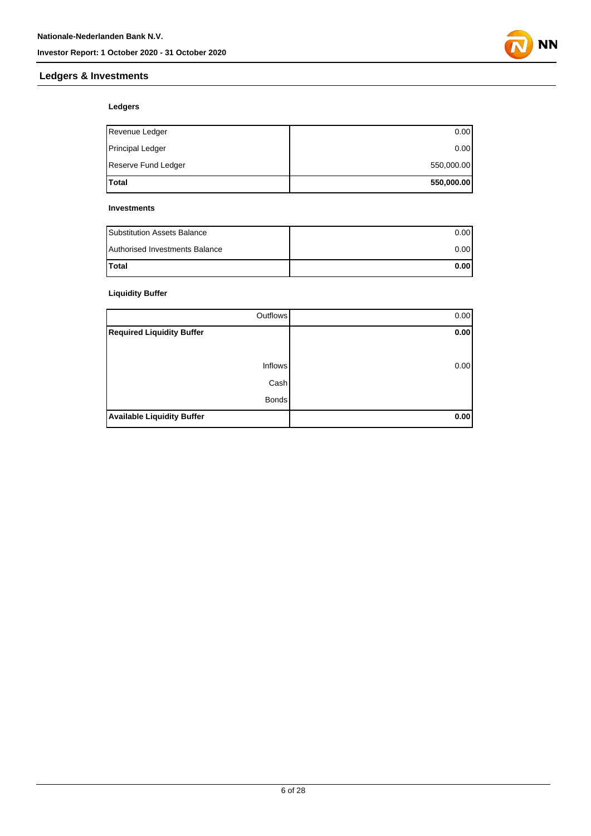

## **Ledgers & Investments**

#### **Ledgers**

| <b>Total</b>            | 550,000.00 |
|-------------------------|------------|
| Reserve Fund Ledger     | 550,000.00 |
| <b>Principal Ledger</b> | 0.00       |
| Revenue Ledger          | 0.00       |

#### **Investments**

| <b>Substitution Assets Balance</b> | 0.001 |
|------------------------------------|-------|
| Authorised Investments Balance     | 0.001 |
| <b>Total</b>                       | 0.001 |

#### **Liquidity Buffer**

| Outflows                          | 0.00 |
|-----------------------------------|------|
| <b>Required Liquidity Buffer</b>  | 0.00 |
|                                   |      |
| Inflows                           | 0.00 |
| Cash                              |      |
| <b>Bonds</b>                      |      |
| <b>Available Liquidity Buffer</b> | 0.00 |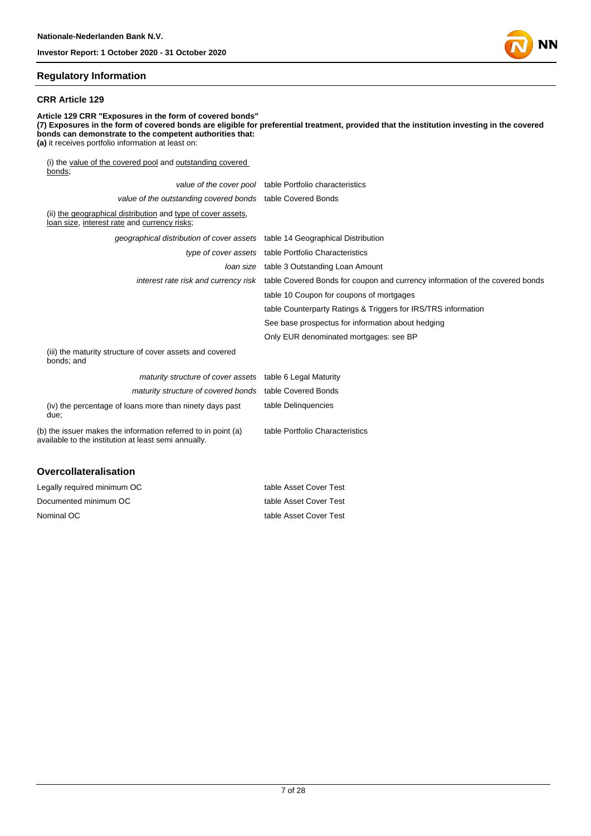

#### **CRR Article 129**

**Article 129 CRR "Exposures in the form of covered bonds" (7) Exposures in the form of covered bonds are eligible for preferential treatment, provided that the institution investing in the covered bonds can demonstrate to the competent authorities that: (a)** it receives portfolio information at least on: (i) the value of the covered pool and outstanding covered bonds; value of the cover pool table Portfolio characteristics

|                                                                                                                       | value of the cover poor able Fortiono characteristics                                                             |
|-----------------------------------------------------------------------------------------------------------------------|-------------------------------------------------------------------------------------------------------------------|
| value of the outstanding covered bonds table Covered Bonds                                                            |                                                                                                                   |
| (ii) the geographical distribution and type of cover assets,<br>loan size, interest rate and currency risks;          |                                                                                                                   |
| geographical distribution of cover assets table 14 Geographical Distribution                                          |                                                                                                                   |
|                                                                                                                       | type of cover assets table Portfolio Characteristics                                                              |
|                                                                                                                       | <i>loan size</i> table 3 Outstanding Loan Amount                                                                  |
|                                                                                                                       | interest rate risk and currency risk table Covered Bonds for coupon and currency information of the covered bonds |
|                                                                                                                       | table 10 Coupon for coupons of mortgages                                                                          |
|                                                                                                                       | table Counterparty Ratings & Triggers for IRS/TRS information                                                     |
|                                                                                                                       | See base prospectus for information about hedging                                                                 |
|                                                                                                                       | Only EUR denominated mortgages: see BP                                                                            |
| (iii) the maturity structure of cover assets and covered<br>bonds; and                                                |                                                                                                                   |
| maturity structure of cover assets table 6 Legal Maturity                                                             |                                                                                                                   |
| maturity structure of covered bonds table Covered Bonds                                                               |                                                                                                                   |
| (iv) the percentage of loans more than ninety days past<br>due;                                                       | table Delinguencies                                                                                               |
| (b) the issuer makes the information referred to in point (a)<br>available to the institution at least semi annually. | table Portfolio Characteristics                                                                                   |
| <b>Overcollateralisation</b>                                                                                          |                                                                                                                   |

| Legally required minimum OC | table Asset Cover Test |
|-----------------------------|------------------------|
| Documented minimum OC       | table Asset Cover Test |
| Nominal OC                  | table Asset Cover Test |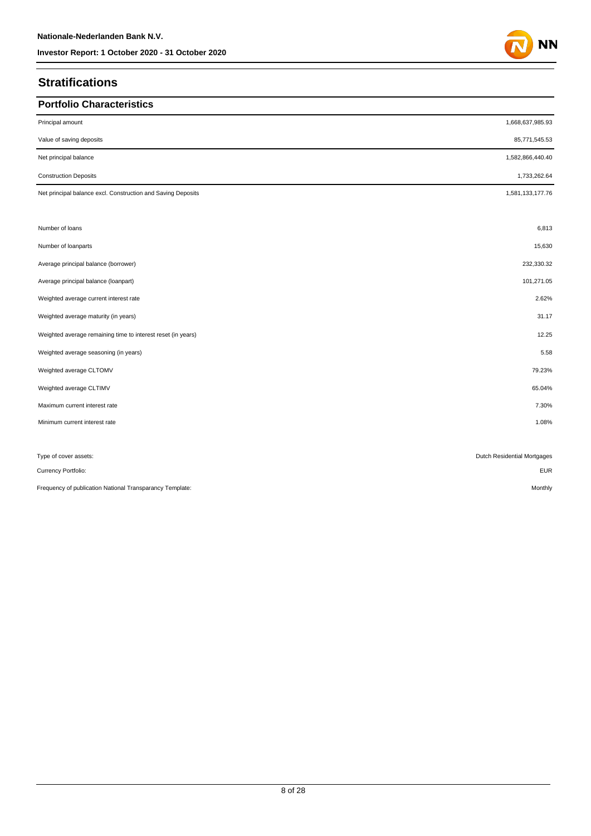## **Stratifications**

| <b>Portfolio Characteristics</b>                             |                             |
|--------------------------------------------------------------|-----------------------------|
| Principal amount                                             | 1,668,637,985.93            |
| Value of saving deposits                                     | 85,771,545.53               |
| Net principal balance                                        | 1,582,866,440.40            |
| <b>Construction Deposits</b>                                 | 1,733,262.64                |
| Net principal balance excl. Construction and Saving Deposits | 1,581,133,177.76            |
|                                                              |                             |
| Number of loans                                              | 6,813                       |
| Number of loanparts                                          | 15,630                      |
| Average principal balance (borrower)                         | 232,330.32                  |
| Average principal balance (loanpart)                         | 101,271.05                  |
| Weighted average current interest rate                       | 2.62%                       |
| Weighted average maturity (in years)                         | 31.17                       |
| Weighted average remaining time to interest reset (in years) | 12.25                       |
| Weighted average seasoning (in years)                        | 5.58                        |
| Weighted average CLTOMV                                      | 79.23%                      |
| Weighted average CLTIMV                                      | 65.04%                      |
| Maximum current interest rate                                | 7.30%                       |
| Minimum current interest rate                                | 1.08%                       |
|                                                              |                             |
| Type of cover assets:                                        | Dutch Residential Mortgages |
| Currency Portfolio:                                          | <b>EUR</b>                  |
| Frequency of publication National Transparancy Template:     | Monthly                     |

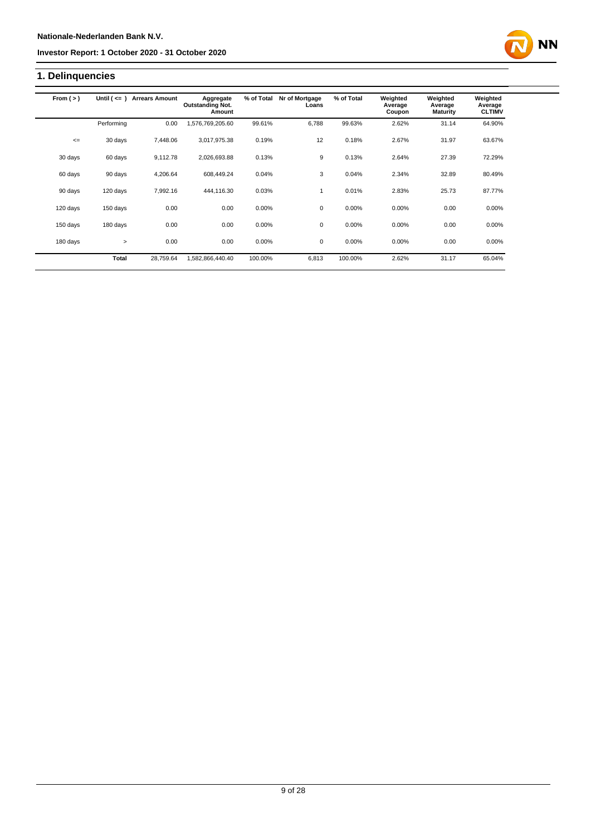## **1. Delinquencies**

| From $(>)$ | Until $($ $\leq$ $=$ $)$ | <b>Arrears Amount</b> | Aggregate<br><b>Outstanding Not.</b><br>Amount | % of Total | Nr of Mortgage<br>Loans | % of Total | Weighted<br>Average<br>Coupon | Weighted<br>Average<br><b>Maturity</b> | Weighted<br>Average<br><b>CLTIMV</b> |
|------------|--------------------------|-----------------------|------------------------------------------------|------------|-------------------------|------------|-------------------------------|----------------------------------------|--------------------------------------|
|            | Performing               | 0.00                  | ,576,769,205.60                                | 99.61%     | 6.788                   | 99.63%     | 2.62%                         | 31.14                                  | 64.90%                               |
| $\leq$     | 30 days                  | 7,448.06              | 3,017,975.38                                   | 0.19%      | 12                      | 0.18%      | 2.67%                         | 31.97                                  | 63.67%                               |
| 30 days    | 60 days                  | 9,112.78              | 2,026,693.88                                   | 0.13%      | 9                       | 0.13%      | 2.64%                         | 27.39                                  | 72.29%                               |
| 60 days    | 90 days                  | 4,206.64              | 608.449.24                                     | 0.04%      | 3                       | 0.04%      | 2.34%                         | 32.89                                  | 80.49%                               |
| 90 days    | 120 days                 | 7.992.16              | 444,116.30                                     | 0.03%      | $\mathbf{1}$            | 0.01%      | 2.83%                         | 25.73                                  | 87.77%                               |
| 120 days   | 150 days                 | 0.00                  | 0.00                                           | 0.00%      | $\mathbf 0$             | 0.00%      | 0.00%                         | 0.00                                   | 0.00%                                |
| 150 days   | 180 days                 | 0.00                  | 0.00                                           | 0.00%      | 0                       | 0.00%      | 0.00%                         | 0.00                                   | 0.00%                                |
| 180 days   | $\geq$                   | 0.00                  | 0.00                                           | 0.00%      | 0                       | 0.00%      | 0.00%                         | 0.00                                   | 0.00%                                |
|            | Total                    | 28,759.64             | 1,582,866,440.40                               | 100.00%    | 6,813                   | 100.00%    | 2.62%                         | 31.17                                  | 65.04%                               |

**NN**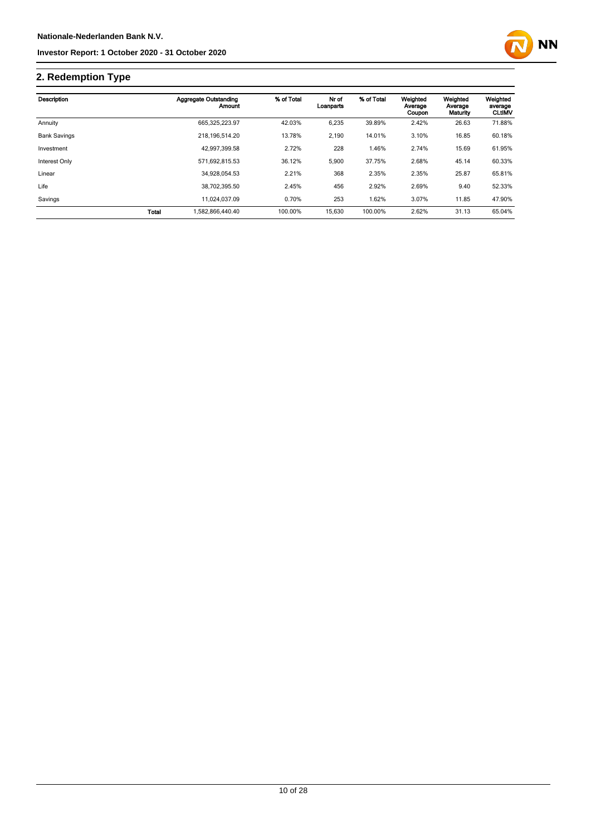

## **2. Redemption Type**

| Description         |              | Aggregate Outstanding<br>Amount | % of Total | Nr of<br>Loanparts | % of Total | Weighted<br>Average<br>Coupon | Weighted<br>Average<br>Maturity | Weighted<br>average<br><b>CLtIMV</b> |
|---------------------|--------------|---------------------------------|------------|--------------------|------------|-------------------------------|---------------------------------|--------------------------------------|
| Annuity             |              | 665,325,223.97                  | 42.03%     | 6,235              | 39.89%     | 2.42%                         | 26.63                           | 71.88%                               |
| <b>Bank Savings</b> |              | 218, 196, 514. 20               | 13.78%     | 2,190              | 14.01%     | 3.10%                         | 16.85                           | 60.18%                               |
| Investment          |              | 42.997.399.58                   | 2.72%      | 228                | 1.46%      | 2.74%                         | 15.69                           | 61.95%                               |
| Interest Only       |              | 571,692,815.53                  | 36.12%     | 5,900              | 37.75%     | 2.68%                         | 45.14                           | 60.33%                               |
| Linear              |              | 34.928.054.53                   | 2.21%      | 368                | 2.35%      | 2.35%                         | 25.87                           | 65.81%                               |
| Life                |              | 38.702.395.50                   | 2.45%      | 456                | 2.92%      | 2.69%                         | 9.40                            | 52.33%                               |
| Savings             |              | 11.024.037.09                   | 0.70%      | 253                | 1.62%      | 3.07%                         | 11.85                           | 47.90%                               |
|                     | <b>Total</b> | 1.582.866.440.40                | 100.00%    | 15,630             | 100.00%    | 2.62%                         | 31.13                           | 65.04%                               |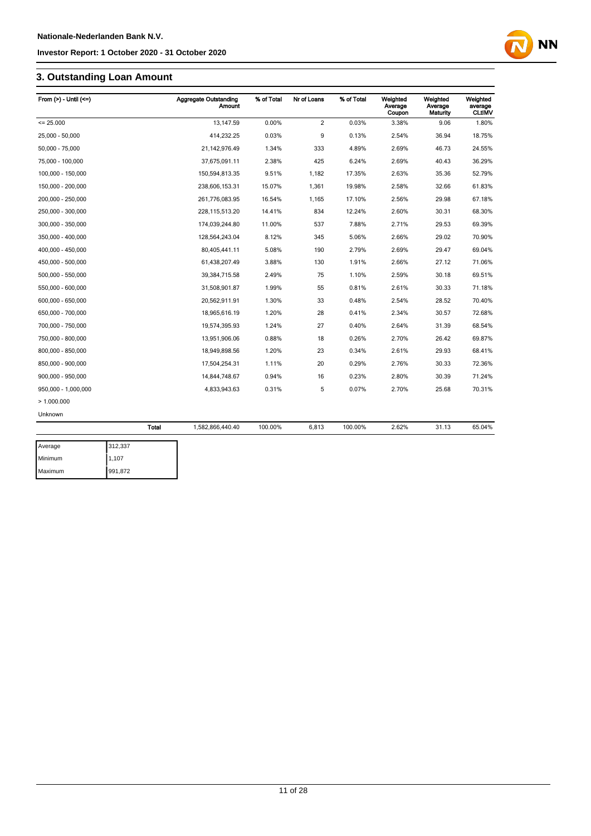## **3. Outstanding Loan Amount**

| From $(>) -$ Until $(<=)$ |              | <b>Aggregate Outstanding</b><br><b>Amount</b> | % of Total | Nr of Loans    | % of Total | Weighted<br>Average<br>Coupon | Weighted<br>Average<br>Maturity | Weighted<br>average<br><b>CLtIMV</b> |
|---------------------------|--------------|-----------------------------------------------|------------|----------------|------------|-------------------------------|---------------------------------|--------------------------------------|
| $= 25.000$                |              | 13,147.59                                     | 0.00%      | $\overline{2}$ | 0.03%      | 3.38%                         | 9.06                            | 1.80%                                |
| 25,000 - 50,000           |              | 414,232.25                                    | 0.03%      | 9              | 0.13%      | 2.54%                         | 36.94                           | 18.75%                               |
| 50,000 - 75,000           |              | 21,142,976.49                                 | 1.34%      | 333            | 4.89%      | 2.69%                         | 46.73                           | 24.55%                               |
| 75,000 - 100,000          |              | 37,675,091.11                                 | 2.38%      | 425            | 6.24%      | 2.69%                         | 40.43                           | 36.29%                               |
| 100,000 - 150,000         |              | 150,594,813.35                                | 9.51%      | 1,182          | 17.35%     | 2.63%                         | 35.36                           | 52.79%                               |
| 150,000 - 200,000         |              | 238,606,153.31                                | 15.07%     | 1,361          | 19.98%     | 2.58%                         | 32.66                           | 61.83%                               |
| 200,000 - 250,000         |              | 261,776,083.95                                | 16.54%     | 1,165          | 17.10%     | 2.56%                         | 29.98                           | 67.18%                               |
| 250,000 - 300,000         |              | 228,115,513.20                                | 14.41%     | 834            | 12.24%     | 2.60%                         | 30.31                           | 68.30%                               |
| 300,000 - 350,000         |              | 174,039,244.80                                | 11.00%     | 537            | 7.88%      | 2.71%                         | 29.53                           | 69.39%                               |
| 350,000 - 400,000         |              | 128,564,243.04                                | 8.12%      | 345            | 5.06%      | 2.66%                         | 29.02                           | 70.90%                               |
| 400,000 - 450,000         |              | 80,405,441.11                                 | 5.08%      | 190            | 2.79%      | 2.69%                         | 29.47                           | 69.04%                               |
| 450,000 - 500,000         |              | 61,438,207.49                                 | 3.88%      | 130            | 1.91%      | 2.66%                         | 27.12                           | 71.06%                               |
| 500,000 - 550,000         |              | 39,384,715.58                                 | 2.49%      | 75             | 1.10%      | 2.59%                         | 30.18                           | 69.51%                               |
| 550,000 - 600,000         |              | 31,508,901.87                                 | 1.99%      | 55             | 0.81%      | 2.61%                         | 30.33                           | 71.18%                               |
| 600,000 - 650,000         |              | 20,562,911.91                                 | 1.30%      | 33             | 0.48%      | 2.54%                         | 28.52                           | 70.40%                               |
| 650,000 - 700,000         |              | 18,965,616.19                                 | 1.20%      | 28             | 0.41%      | 2.34%                         | 30.57                           | 72.68%                               |
| 700,000 - 750,000         |              | 19,574,395.93                                 | 1.24%      | 27             | 0.40%      | 2.64%                         | 31.39                           | 68.54%                               |
| 750,000 - 800,000         |              | 13,951,906.06                                 | 0.88%      | 18             | 0.26%      | 2.70%                         | 26.42                           | 69.87%                               |
| 800,000 - 850,000         |              | 18,949,898.56                                 | 1.20%      | 23             | 0.34%      | 2.61%                         | 29.93                           | 68.41%                               |
| 850,000 - 900,000         |              | 17,504,254.31                                 | 1.11%      | 20             | 0.29%      | 2.76%                         | 30.33                           | 72.36%                               |
| 900,000 - 950,000         |              | 14,844,748.67                                 | 0.94%      | 16             | 0.23%      | 2.80%                         | 30.39                           | 71.24%                               |
| 950,000 - 1,000,000       |              | 4,833,943.63                                  | 0.31%      | 5              | 0.07%      | 2.70%                         | 25.68                           | 70.31%                               |
| >1.000.000                |              |                                               |            |                |            |                               |                                 |                                      |
| Unknown                   |              |                                               |            |                |            |                               |                                 |                                      |
|                           | <b>Total</b> | 1,582,866,440.40                              | 100.00%    | 6,813          | 100.00%    | 2.62%                         | 31.13                           | 65.04%                               |
| Average                   | 312,337      |                                               |            |                |            |                               |                                 |                                      |

| Average | 312,337 |
|---------|---------|
| Minimum | 1,107   |
| Maximum | 991,872 |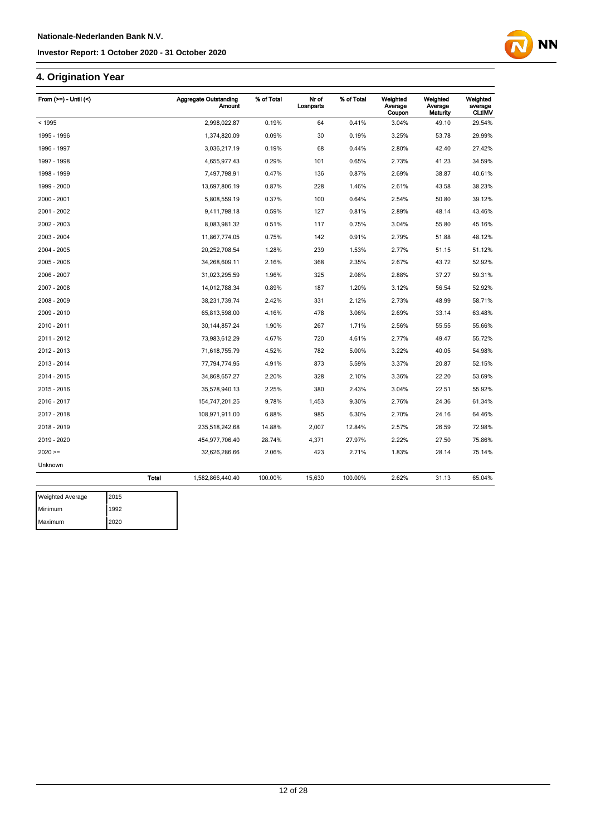## **4. Origination Year**

| < 1995<br>1995 - 1996 |              |                  |         | Loanparts |         | Average<br>Coupon | Average<br>Maturity | average<br><b>CLtIMV</b> |
|-----------------------|--------------|------------------|---------|-----------|---------|-------------------|---------------------|--------------------------|
|                       |              | 2,998,022.87     | 0.19%   | 64        | 0.41%   | 3.04%             | 49.10               | 29.54%                   |
|                       |              | 1,374,820.09     | 0.09%   | 30        | 0.19%   | 3.25%             | 53.78               | 29.99%                   |
| 1996 - 1997           |              | 3,036,217.19     | 0.19%   | 68        | 0.44%   | 2.80%             | 42.40               | 27.42%                   |
| 1997 - 1998           |              | 4,655,977.43     | 0.29%   | 101       | 0.65%   | 2.73%             | 41.23               | 34.59%                   |
| 1998 - 1999           |              | 7,497,798.91     | 0.47%   | 136       | 0.87%   | 2.69%             | 38.87               | 40.61%                   |
| 1999 - 2000           |              | 13,697,806.19    | 0.87%   | 228       | 1.46%   | 2.61%             | 43.58               | 38.23%                   |
| 2000 - 2001           |              | 5,808,559.19     | 0.37%   | 100       | 0.64%   | 2.54%             | 50.80               | 39.12%                   |
| 2001 - 2002           |              | 9,411,798.18     | 0.59%   | 127       | 0.81%   | 2.89%             | 48.14               | 43.46%                   |
| 2002 - 2003           |              | 8,083,981.32     | 0.51%   | 117       | 0.75%   | 3.04%             | 55.80               | 45.16%                   |
| 2003 - 2004           |              | 11,867,774.05    | 0.75%   | 142       | 0.91%   | 2.79%             | 51.88               | 48.12%                   |
| 2004 - 2005           |              | 20,252,708.54    | 1.28%   | 239       | 1.53%   | 2.77%             | 51.15               | 51.12%                   |
| 2005 - 2006           |              | 34,268,609.11    | 2.16%   | 368       | 2.35%   | 2.67%             | 43.72               | 52.92%                   |
| 2006 - 2007           |              | 31,023,295.59    | 1.96%   | 325       | 2.08%   | 2.88%             | 37.27               | 59.31%                   |
| 2007 - 2008           |              | 14,012,788.34    | 0.89%   | 187       | 1.20%   | 3.12%             | 56.54               | 52.92%                   |
| 2008 - 2009           |              | 38,231,739.74    | 2.42%   | 331       | 2.12%   | 2.73%             | 48.99               | 58.71%                   |
| 2009 - 2010           |              | 65,813,598.00    | 4.16%   | 478       | 3.06%   | 2.69%             | 33.14               | 63.48%                   |
| 2010 - 2011           |              | 30, 144, 857. 24 | 1.90%   | 267       | 1.71%   | 2.56%             | 55.55               | 55.66%                   |
| 2011 - 2012           |              | 73,983,612.29    | 4.67%   | 720       | 4.61%   | 2.77%             | 49.47               | 55.72%                   |
| 2012 - 2013           |              | 71,618,755.79    | 4.52%   | 782       | 5.00%   | 3.22%             | 40.05               | 54.98%                   |
| 2013 - 2014           |              | 77,794,774.95    | 4.91%   | 873       | 5.59%   | 3.37%             | 20.87               | 52.15%                   |
| 2014 - 2015           |              | 34,868,657.27    | 2.20%   | 328       | 2.10%   | 3.36%             | 22.20               | 53.69%                   |
| 2015 - 2016           |              | 35,578,940.13    | 2.25%   | 380       | 2.43%   | 3.04%             | 22.51               | 55.92%                   |
| 2016 - 2017           |              | 154,747,201.25   | 9.78%   | 1,453     | 9.30%   | 2.76%             | 24.36               | 61.34%                   |
| 2017 - 2018           |              | 108,971,911.00   | 6.88%   | 985       | 6.30%   | 2.70%             | 24.16               | 64.46%                   |
| 2018 - 2019           |              | 235,518,242.68   | 14.88%  | 2,007     | 12.84%  | 2.57%             | 26.59               | 72.98%                   |
| 2019 - 2020           |              | 454,977,706.40   | 28.74%  | 4,371     | 27.97%  | 2.22%             | 27.50               | 75.86%                   |
| $2020 =$              |              | 32,626,286.66    | 2.06%   | 423       | 2.71%   | 1.83%             | 28.14               | 75.14%                   |
| Unknown               |              |                  |         |           |         |                   |                     |                          |
|                       | <b>Total</b> | 1,582,866,440.40 | 100.00% | 15,630    | 100.00% | 2.62%             | 31.13               | 65.04%                   |

**NN** 

| <b>Weighted Average</b> | 2015 |
|-------------------------|------|
| Minimum                 | 1992 |
| Maximum                 | 2020 |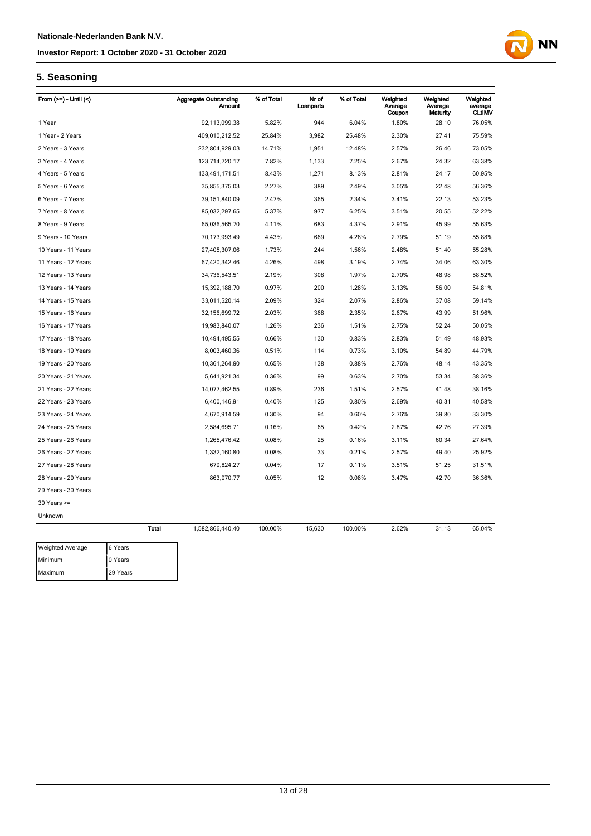# **NN**

## **5. Seasoning**

| From $(>=)$ - Until $($ |              | <b>Aggregate Outstanding</b><br><b>Amount</b> | % of Total | Nr of<br>Loanparts | % of Total | Weighted<br>Average<br>Coupon | Weighted<br>Average<br>Maturity | Weighted<br>average<br><b>CLtIMV</b> |
|-------------------------|--------------|-----------------------------------------------|------------|--------------------|------------|-------------------------------|---------------------------------|--------------------------------------|
| 1 Year                  |              | 92,113,099.38                                 | 5.82%      | 944                | 6.04%      | 1.80%                         | 28.10                           | 76.05%                               |
| 1 Year - 2 Years        |              | 409,010,212.52                                | 25.84%     | 3,982              | 25.48%     | 2.30%                         | 27.41                           | 75.59%                               |
| 2 Years - 3 Years       |              | 232,804,929.03                                | 14.71%     | 1,951              | 12.48%     | 2.57%                         | 26.46                           | 73.05%                               |
| 3 Years - 4 Years       |              | 123,714,720.17                                | 7.82%      | 1,133              | 7.25%      | 2.67%                         | 24.32                           | 63.38%                               |
| 4 Years - 5 Years       |              | 133,491,171.51                                | 8.43%      | 1,271              | 8.13%      | 2.81%                         | 24.17                           | 60.95%                               |
| 5 Years - 6 Years       |              | 35,855,375.03                                 | 2.27%      | 389                | 2.49%      | 3.05%                         | 22.48                           | 56.36%                               |
| 6 Years - 7 Years       |              | 39, 151, 840.09                               | 2.47%      | 365                | 2.34%      | 3.41%                         | 22.13                           | 53.23%                               |
| 7 Years - 8 Years       |              | 85,032,297.65                                 | 5.37%      | 977                | 6.25%      | 3.51%                         | 20.55                           | 52.22%                               |
| 8 Years - 9 Years       |              | 65,036,565.70                                 | 4.11%      | 683                | 4.37%      | 2.91%                         | 45.99                           | 55.63%                               |
| 9 Years - 10 Years      |              | 70,173,993.49                                 | 4.43%      | 669                | 4.28%      | 2.79%                         | 51.19                           | 55.88%                               |
| 10 Years - 11 Years     |              | 27,405,307.06                                 | 1.73%      | 244                | 1.56%      | 2.48%                         | 51.40                           | 55.28%                               |
| 11 Years - 12 Years     |              | 67,420,342.46                                 | 4.26%      | 498                | 3.19%      | 2.74%                         | 34.06                           | 63.30%                               |
| 12 Years - 13 Years     |              | 34,736,543.51                                 | 2.19%      | 308                | 1.97%      | 2.70%                         | 48.98                           | 58.52%                               |
| 13 Years - 14 Years     |              | 15,392,188.70                                 | 0.97%      | 200                | 1.28%      | 3.13%                         | 56.00                           | 54.81%                               |
| 14 Years - 15 Years     |              | 33,011,520.14                                 | 2.09%      | 324                | 2.07%      | 2.86%                         | 37.08                           | 59.14%                               |
| 15 Years - 16 Years     |              | 32, 156, 699. 72                              | 2.03%      | 368                | 2.35%      | 2.67%                         | 43.99                           | 51.96%                               |
| 16 Years - 17 Years     |              | 19,983,840.07                                 | 1.26%      | 236                | 1.51%      | 2.75%                         | 52.24                           | 50.05%                               |
| 17 Years - 18 Years     |              | 10,494,495.55                                 | 0.66%      | 130                | 0.83%      | 2.83%                         | 51.49                           | 48.93%                               |
| 18 Years - 19 Years     |              | 8,003,460.36                                  | 0.51%      | 114                | 0.73%      | 3.10%                         | 54.89                           | 44.79%                               |
| 19 Years - 20 Years     |              | 10,361,264.90                                 | 0.65%      | 138                | 0.88%      | 2.76%                         | 48.14                           | 43.35%                               |
| 20 Years - 21 Years     |              | 5,641,921.34                                  | 0.36%      | 99                 | 0.63%      | 2.70%                         | 53.34                           | 38.36%                               |
| 21 Years - 22 Years     |              | 14,077,462.55                                 | 0.89%      | 236                | 1.51%      | 2.57%                         | 41.48                           | 38.16%                               |
| 22 Years - 23 Years     |              | 6,400,146.91                                  | 0.40%      | 125                | 0.80%      | 2.69%                         | 40.31                           | 40.58%                               |
| 23 Years - 24 Years     |              | 4,670,914.59                                  | 0.30%      | 94                 | 0.60%      | 2.76%                         | 39.80                           | 33.30%                               |
| 24 Years - 25 Years     |              | 2,584,695.71                                  | 0.16%      | 65                 | 0.42%      | 2.87%                         | 42.76                           | 27.39%                               |
| 25 Years - 26 Years     |              | 1,265,476.42                                  | 0.08%      | 25                 | 0.16%      | 3.11%                         | 60.34                           | 27.64%                               |
| 26 Years - 27 Years     |              | 1,332,160.80                                  | 0.08%      | 33                 | 0.21%      | 2.57%                         | 49.40                           | 25.92%                               |
| 27 Years - 28 Years     |              | 679,824.27                                    | 0.04%      | 17                 | 0.11%      | 3.51%                         | 51.25                           | 31.51%                               |
| 28 Years - 29 Years     |              | 863,970.77                                    | 0.05%      | 12                 | 0.08%      | 3.47%                         | 42.70                           | 36.36%                               |
| 29 Years - 30 Years     |              |                                               |            |                    |            |                               |                                 |                                      |
| $30$ Years $>=$         |              |                                               |            |                    |            |                               |                                 |                                      |
| Unknown                 |              |                                               |            |                    |            |                               |                                 |                                      |
|                         | <b>Total</b> | 1,582,866,440.40                              | 100.00%    | 15,630             | 100.00%    | 2.62%                         | 31.13                           | 65.04%                               |
| Weighted Average        | 6 Years      |                                               |            |                    |            |                               |                                 |                                      |
| Minimum                 | 0 Years      |                                               |            |                    |            |                               |                                 |                                      |
| Maximum                 | 29 Years     |                                               |            |                    |            |                               |                                 |                                      |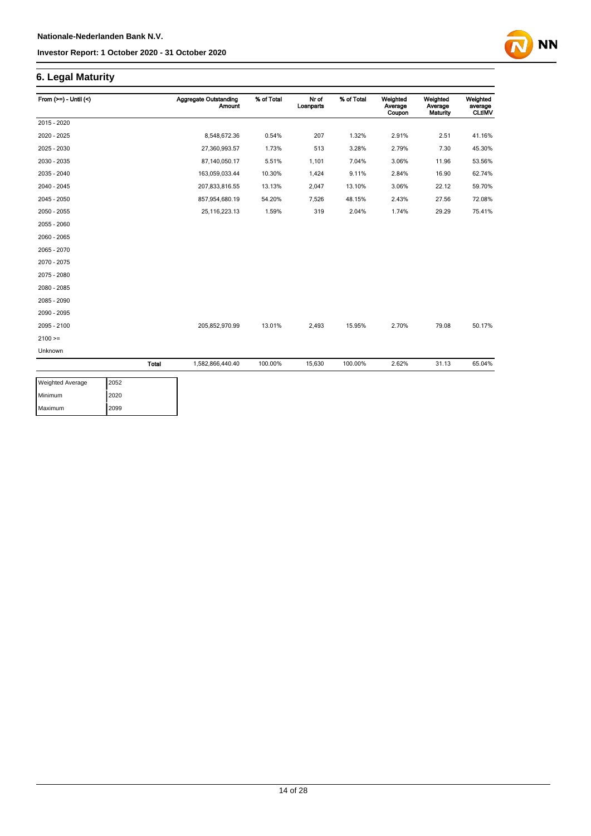## **6. Legal Maturity**

| From $(>=) -$ Until $($ |              | <b>Aggregate Outstanding</b><br><b>Amount</b> | % of Total | Nr of<br>Loanparts | % of Total | Weighted<br>Average<br>Coupon | Weighted<br>Average<br><b>Maturity</b> | Weighted<br>average<br><b>CLtIMV</b> |
|-------------------------|--------------|-----------------------------------------------|------------|--------------------|------------|-------------------------------|----------------------------------------|--------------------------------------|
| 2015 - 2020             |              |                                               |            |                    |            |                               |                                        |                                      |
| 2020 - 2025             |              | 8,548,672.36                                  | 0.54%      | 207                | 1.32%      | 2.91%                         | 2.51                                   | 41.16%                               |
| 2025 - 2030             |              | 27,360,993.57                                 | 1.73%      | 513                | 3.28%      | 2.79%                         | 7.30                                   | 45.30%                               |
| 2030 - 2035             |              | 87,140,050.17                                 | 5.51%      | 1,101              | 7.04%      | 3.06%                         | 11.96                                  | 53.56%                               |
| 2035 - 2040             |              | 163,059,033.44                                | 10.30%     | 1,424              | 9.11%      | 2.84%                         | 16.90                                  | 62.74%                               |
| 2040 - 2045             |              | 207,833,816.55                                | 13.13%     | 2,047              | 13.10%     | 3.06%                         | 22.12                                  | 59.70%                               |
| 2045 - 2050             |              | 857,954,680.19                                | 54.20%     | 7,526              | 48.15%     | 2.43%                         | 27.56                                  | 72.08%                               |
| 2050 - 2055             |              | 25, 116, 223. 13                              | 1.59%      | 319                | 2.04%      | 1.74%                         | 29.29                                  | 75.41%                               |
| 2055 - 2060             |              |                                               |            |                    |            |                               |                                        |                                      |
| 2060 - 2065             |              |                                               |            |                    |            |                               |                                        |                                      |
| 2065 - 2070             |              |                                               |            |                    |            |                               |                                        |                                      |
| 2070 - 2075             |              |                                               |            |                    |            |                               |                                        |                                      |
| 2075 - 2080             |              |                                               |            |                    |            |                               |                                        |                                      |
| 2080 - 2085             |              |                                               |            |                    |            |                               |                                        |                                      |
| 2085 - 2090             |              |                                               |            |                    |            |                               |                                        |                                      |
| 2090 - 2095             |              |                                               |            |                    |            |                               |                                        |                                      |
| 2095 - 2100             |              | 205,852,970.99                                | 13.01%     | 2,493              | 15.95%     | 2.70%                         | 79.08                                  | 50.17%                               |
| $2100 =$                |              |                                               |            |                    |            |                               |                                        |                                      |
| Unknown                 |              |                                               |            |                    |            |                               |                                        |                                      |
|                         | <b>Total</b> | 1,582,866,440.40                              | 100.00%    | 15,630             | 100.00%    | 2.62%                         | 31.13                                  | 65.04%                               |

**NN** 

| <b>Weighted Average</b> | 2052 |
|-------------------------|------|
| Minimum                 | 2020 |
| Maximum                 | 2099 |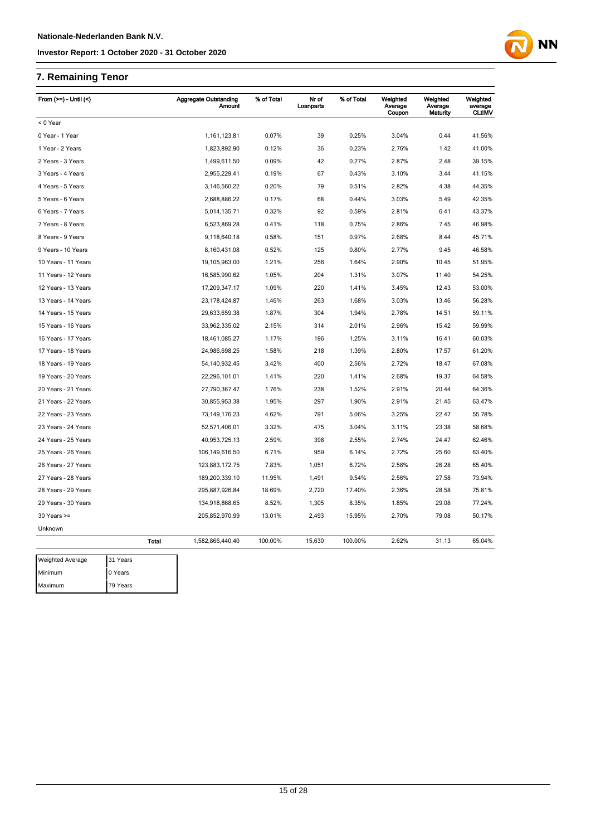## **7. Remaining Tenor**

Maximum 79 Years

| From $(>=) -$ Until $($ |              | <b>Aggregate Outstanding</b><br><b>Amount</b> | % of Total | Nr of<br>Loanparts | % of Total | Weighted<br>Average<br>Coupon | Weighted<br>Average<br>Maturity | Weighted<br>average<br><b>CLtIMV</b> |
|-------------------------|--------------|-----------------------------------------------|------------|--------------------|------------|-------------------------------|---------------------------------|--------------------------------------|
| < 0 Year                |              |                                               |            |                    |            |                               |                                 |                                      |
| 0 Year - 1 Year         |              | 1,161,123.81                                  | 0.07%      | 39                 | 0.25%      | 3.04%                         | 0.44                            | 41.56%                               |
| 1 Year - 2 Years        |              | 1,823,892.90                                  | 0.12%      | 36                 | 0.23%      | 2.76%                         | 1.42                            | 41.00%                               |
| 2 Years - 3 Years       |              | 1,499,611.50                                  | 0.09%      | 42                 | 0.27%      | 2.87%                         | 2.48                            | 39.15%                               |
| 3 Years - 4 Years       |              | 2,955,229.41                                  | 0.19%      | 67                 | 0.43%      | 3.10%                         | 3.44                            | 41.15%                               |
| 4 Years - 5 Years       |              | 3,146,560.22                                  | 0.20%      | 79                 | 0.51%      | 2.82%                         | 4.38                            | 44.35%                               |
| 5 Years - 6 Years       |              | 2,688,886.22                                  | 0.17%      | 68                 | 0.44%      | 3.03%                         | 5.49                            | 42.35%                               |
| 6 Years - 7 Years       |              | 5,014,135.71                                  | 0.32%      | 92                 | 0.59%      | 2.81%                         | 6.41                            | 43.37%                               |
| 7 Years - 8 Years       |              | 6,523,869.28                                  | 0.41%      | 118                | 0.75%      | 2.86%                         | 7.45                            | 46.98%                               |
| 8 Years - 9 Years       |              | 9,118,640.18                                  | 0.58%      | 151                | 0.97%      | 2.68%                         | 8.44                            | 45.71%                               |
| 9 Years - 10 Years      |              | 8,160,431.08                                  | 0.52%      | 125                | 0.80%      | 2.77%                         | 9.45                            | 46.58%                               |
| 10 Years - 11 Years     |              | 19,105,963.00                                 | 1.21%      | 256                | 1.64%      | 2.90%                         | 10.45                           | 51.95%                               |
| 11 Years - 12 Years     |              | 16,585,990.62                                 | 1.05%      | 204                | 1.31%      | 3.07%                         | 11.40                           | 54.25%                               |
| 12 Years - 13 Years     |              | 17,209,347.17                                 | 1.09%      | 220                | 1.41%      | 3.45%                         | 12.43                           | 53.00%                               |
| 13 Years - 14 Years     |              | 23, 178, 424.87                               | 1.46%      | 263                | 1.68%      | 3.03%                         | 13.46                           | 56.28%                               |
| 14 Years - 15 Years     |              | 29,633,659.38                                 | 1.87%      | 304                | 1.94%      | 2.78%                         | 14.51                           | 59.11%                               |
| 15 Years - 16 Years     |              | 33,962,335.02                                 | 2.15%      | 314                | 2.01%      | 2.96%                         | 15.42                           | 59.99%                               |
| 16 Years - 17 Years     |              | 18,461,085.27                                 | 1.17%      | 196                | 1.25%      | 3.11%                         | 16.41                           | 60.03%                               |
| 17 Years - 18 Years     |              | 24,986,698.25                                 | 1.58%      | 218                | 1.39%      | 2.80%                         | 17.57                           | 61.20%                               |
| 18 Years - 19 Years     |              | 54, 140, 932. 45                              | 3.42%      | 400                | 2.56%      | 2.72%                         | 18.47                           | 67.08%                               |
| 19 Years - 20 Years     |              | 22,296,101.01                                 | 1.41%      | 220                | 1.41%      | 2.68%                         | 19.37                           | 64.58%                               |
| 20 Years - 21 Years     |              | 27,790,367.47                                 | 1.76%      | 238                | 1.52%      | 2.91%                         | 20.44                           | 64.36%                               |
| 21 Years - 22 Years     |              | 30,855,953.38                                 | 1.95%      | 297                | 1.90%      | 2.91%                         | 21.45                           | 63.47%                               |
| 22 Years - 23 Years     |              | 73, 149, 176.23                               | 4.62%      | 791                | 5.06%      | 3.25%                         | 22.47                           | 55.78%                               |
| 23 Years - 24 Years     |              | 52,571,406.01                                 | 3.32%      | 475                | 3.04%      | 3.11%                         | 23.38                           | 58.68%                               |
| 24 Years - 25 Years     |              | 40,953,725.13                                 | 2.59%      | 398                | 2.55%      | 2.74%                         | 24.47                           | 62.46%                               |
| 25 Years - 26 Years     |              | 106,149,616.50                                | 6.71%      | 959                | 6.14%      | 2.72%                         | 25.60                           | 63.40%                               |
| 26 Years - 27 Years     |              | 123,883,172.75                                | 7.83%      | 1,051              | 6.72%      | 2.58%                         | 26.28                           | 65.40%                               |
| 27 Years - 28 Years     |              | 189,200,339.10                                | 11.95%     | 1,491              | 9.54%      | 2.56%                         | 27.58                           | 73.94%                               |
| 28 Years - 29 Years     |              | 295,887,926.84                                | 18.69%     | 2,720              | 17.40%     | 2.36%                         | 28.58                           | 75.81%                               |
| 29 Years - 30 Years     |              | 134,918,868.65                                | 8.52%      | 1,305              | 8.35%      | 1.85%                         | 29.08                           | 77.24%                               |
| $30$ Years $>=$         |              | 205,852,970.99                                | 13.01%     | 2,493              | 15.95%     | 2.70%                         | 79.08                           | 50.17%                               |
| Unknown                 |              |                                               |            |                    |            |                               |                                 |                                      |
|                         | <b>Total</b> | 1,582,866,440.40                              | 100.00%    | 15,630             | 100.00%    | 2.62%                         | 31.13                           | 65.04%                               |
| <b>Weighted Average</b> | 31 Years     |                                               |            |                    |            |                               |                                 |                                      |
| Minimum                 | 0 Years      |                                               |            |                    |            |                               |                                 |                                      |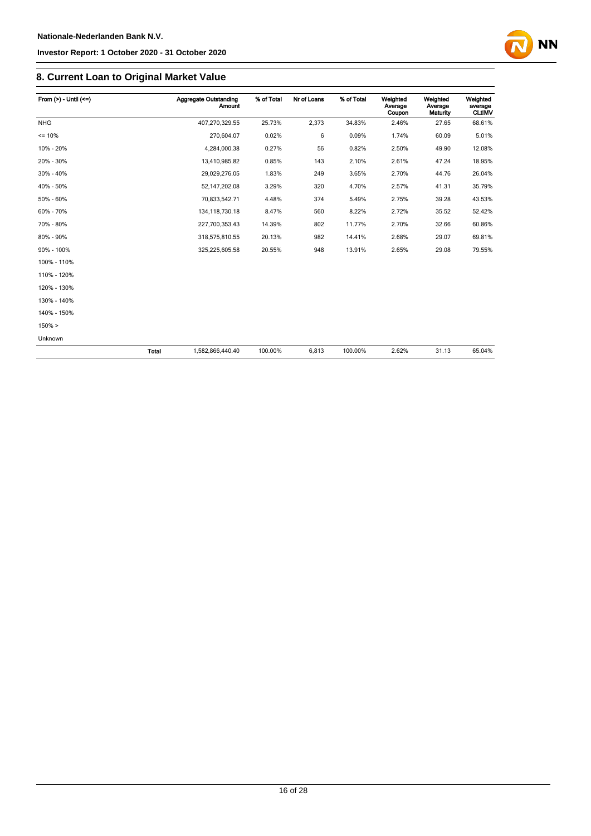

## **8. Current Loan to Original Market Value**

| From $(>) -$ Until $(<=)$ |              | <b>Aggregate Outstanding</b><br><b>Amount</b> | % of Total | Nr of Loans | % of Total | Weighted<br>Average<br>Coupon | Weighted<br>Average<br>Maturity | Weighted<br>average<br><b>CLtIMV</b> |
|---------------------------|--------------|-----------------------------------------------|------------|-------------|------------|-------------------------------|---------------------------------|--------------------------------------|
| <b>NHG</b>                |              | 407,270,329.55                                | 25.73%     | 2,373       | 34.83%     | 2.46%                         | 27.65                           | 68.61%                               |
| $= 10%$                   |              | 270,604.07                                    | 0.02%      | 6           | 0.09%      | 1.74%                         | 60.09                           | 5.01%                                |
| 10% - 20%                 |              | 4,284,000.38                                  | 0.27%      | 56          | 0.82%      | 2.50%                         | 49.90                           | 12.08%                               |
| 20% - 30%                 |              | 13,410,985.82                                 | 0.85%      | 143         | 2.10%      | 2.61%                         | 47.24                           | 18.95%                               |
| 30% - 40%                 |              | 29,029,276.05                                 | 1.83%      | 249         | 3.65%      | 2.70%                         | 44.76                           | 26.04%                               |
| 40% - 50%                 |              | 52, 147, 202. 08                              | 3.29%      | 320         | 4.70%      | 2.57%                         | 41.31                           | 35.79%                               |
| 50% - 60%                 |              | 70,833,542.71                                 | 4.48%      | 374         | 5.49%      | 2.75%                         | 39.28                           | 43.53%                               |
| 60% - 70%                 |              | 134, 118, 730. 18                             | 8.47%      | 560         | 8.22%      | 2.72%                         | 35.52                           | 52.42%                               |
| 70% - 80%                 |              | 227,700,353.43                                | 14.39%     | 802         | 11.77%     | 2.70%                         | 32.66                           | 60.86%                               |
| 80% - 90%                 |              | 318,575,810.55                                | 20.13%     | 982         | 14.41%     | 2.68%                         | 29.07                           | 69.81%                               |
| 90% - 100%                |              | 325,225,605.58                                | 20.55%     | 948         | 13.91%     | 2.65%                         | 29.08                           | 79.55%                               |
| 100% - 110%               |              |                                               |            |             |            |                               |                                 |                                      |
| 110% - 120%               |              |                                               |            |             |            |                               |                                 |                                      |
| 120% - 130%               |              |                                               |            |             |            |                               |                                 |                                      |
| 130% - 140%               |              |                                               |            |             |            |                               |                                 |                                      |
| 140% - 150%               |              |                                               |            |             |            |                               |                                 |                                      |
| $150\% >$                 |              |                                               |            |             |            |                               |                                 |                                      |
| Unknown                   |              |                                               |            |             |            |                               |                                 |                                      |
|                           | <b>Total</b> | 1,582,866,440.40                              | 100.00%    | 6,813       | 100.00%    | 2.62%                         | 31.13                           | 65.04%                               |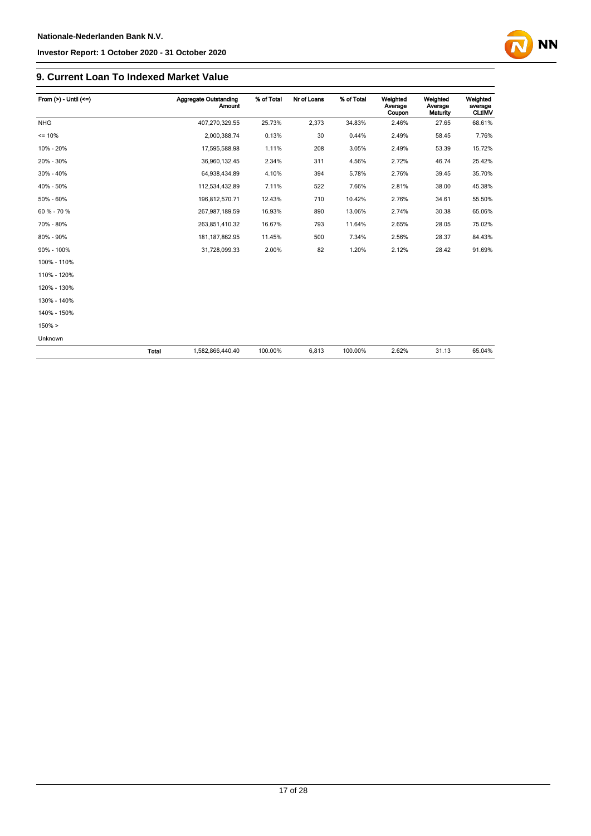

#### **9. Current Loan To Indexed Market Value**

| From $(>) -$ Until $(<=)$ |              | <b>Aggregate Outstanding</b><br>Amount | % of Total | Nr of Loans | % of Total | Weighted<br>Average<br>Coupon | Weighted<br>Average<br>Maturity | Weighted<br>average<br><b>CLtIMV</b> |
|---------------------------|--------------|----------------------------------------|------------|-------------|------------|-------------------------------|---------------------------------|--------------------------------------|
| <b>NHG</b>                |              | 407,270,329.55                         | 25.73%     | 2,373       | 34.83%     | 2.46%                         | 27.65                           | 68.61%                               |
| $= 10%$                   |              | 2,000,388.74                           | 0.13%      | 30          | 0.44%      | 2.49%                         | 58.45                           | 7.76%                                |
| 10% - 20%                 |              | 17,595,588.98                          | 1.11%      | 208         | 3.05%      | 2.49%                         | 53.39                           | 15.72%                               |
| 20% - 30%                 |              | 36,960,132.45                          | 2.34%      | 311         | 4.56%      | 2.72%                         | 46.74                           | 25.42%                               |
| 30% - 40%                 |              | 64,938,434.89                          | 4.10%      | 394         | 5.78%      | 2.76%                         | 39.45                           | 35.70%                               |
| 40% - 50%                 |              | 112,534,432.89                         | 7.11%      | 522         | 7.66%      | 2.81%                         | 38.00                           | 45.38%                               |
| 50% - 60%                 |              | 196,812,570.71                         | 12.43%     | 710         | 10.42%     | 2.76%                         | 34.61                           | 55.50%                               |
| 60 % - 70 %               |              | 267,987,189.59                         | 16.93%     | 890         | 13.06%     | 2.74%                         | 30.38                           | 65.06%                               |
| 70% - 80%                 |              | 263,851,410.32                         | 16.67%     | 793         | 11.64%     | 2.65%                         | 28.05                           | 75.02%                               |
| 80% - 90%                 |              | 181, 187, 862. 95                      | 11.45%     | 500         | 7.34%      | 2.56%                         | 28.37                           | 84.43%                               |
| 90% - 100%                |              | 31,728,099.33                          | 2.00%      | 82          | 1.20%      | 2.12%                         | 28.42                           | 91.69%                               |
| 100% - 110%               |              |                                        |            |             |            |                               |                                 |                                      |
| 110% - 120%               |              |                                        |            |             |            |                               |                                 |                                      |
| 120% - 130%               |              |                                        |            |             |            |                               |                                 |                                      |
| 130% - 140%               |              |                                        |            |             |            |                               |                                 |                                      |
| 140% - 150%               |              |                                        |            |             |            |                               |                                 |                                      |
| 150% >                    |              |                                        |            |             |            |                               |                                 |                                      |
| Unknown                   |              |                                        |            |             |            |                               |                                 |                                      |
|                           | <b>Total</b> | 1,582,866,440.40                       | 100.00%    | 6,813       | 100.00%    | 2.62%                         | 31.13                           | 65.04%                               |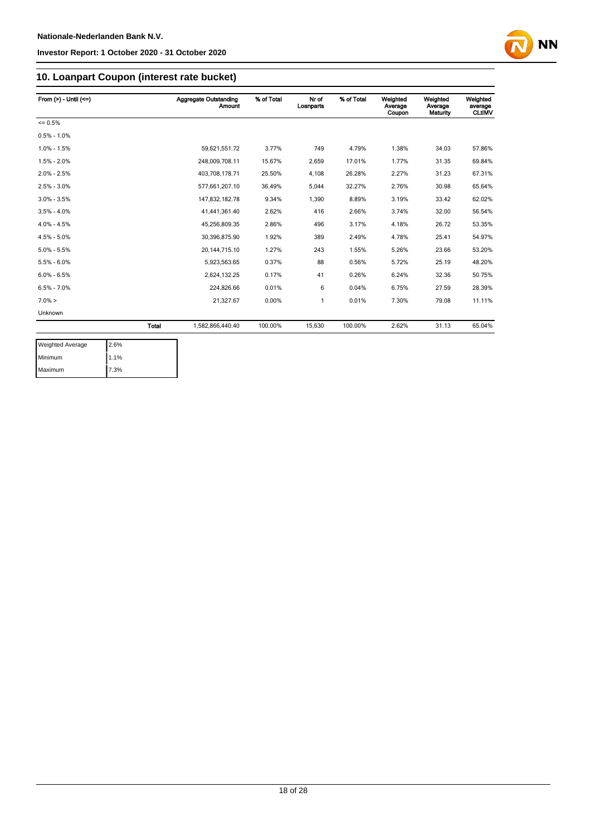

## **10. Loanpart Coupon (interest rate bucket)**

| From $(>)$ - Until $(<=)$ |              | <b>Aggregate Outstanding</b><br><b>Amount</b> | % of Total | Nr of<br>Loanparts | % of Total | Weighted<br>Average<br>Coupon | Weighted<br>Average<br>Maturity | Weighted<br>average<br><b>CLtIMV</b> |
|---------------------------|--------------|-----------------------------------------------|------------|--------------------|------------|-------------------------------|---------------------------------|--------------------------------------|
| $= 0.5%$                  |              |                                               |            |                    |            |                               |                                 |                                      |
| $0.5\% - 1.0\%$           |              |                                               |            |                    |            |                               |                                 |                                      |
| $1.0\% - 1.5\%$           |              | 59,621,551.72                                 | 3.77%      | 749                | 4.79%      | 1.38%                         | 34.03                           | 57.86%                               |
| $1.5\% - 2.0\%$           |              | 248,009,708.11                                | 15.67%     | 2,659              | 17.01%     | 1.77%                         | 31.35                           | 69.84%                               |
| $2.0\% - 2.5\%$           |              | 403,708,178.71                                | 25.50%     | 4,108              | 26.28%     | 2.27%                         | 31.23                           | 67.31%                               |
| $2.5\% - 3.0\%$           |              | 577,661,207.10                                | 36.49%     | 5,044              | 32.27%     | 2.76%                         | 30.98                           | 65.64%                               |
| $3.0\% - 3.5\%$           |              | 147,832,182.78                                | 9.34%      | 1.390              | 8.89%      | 3.19%                         | 33.42                           | 62.02%                               |
| $3.5\% - 4.0\%$           |              | 41,441,361.40                                 | 2.62%      | 416                | 2.66%      | 3.74%                         | 32.00                           | 56.54%                               |
| $4.0\% - 4.5\%$           |              | 45,256,809.35                                 | 2.86%      | 496                | 3.17%      | 4.18%                         | 26.72                           | 53.35%                               |
| $4.5\% - 5.0\%$           |              | 30,396,875.90                                 | 1.92%      | 389                | 2.49%      | 4.78%                         | 25.41                           | 54.97%                               |
| $5.0\% - 5.5\%$           |              | 20, 144, 715. 10                              | 1.27%      | 243                | 1.55%      | 5.26%                         | 23.66                           | 53.20%                               |
| $5.5\% - 6.0\%$           |              | 5,923,563.65                                  | 0.37%      | 88                 | 0.56%      | 5.72%                         | 25.19                           | 48.20%                               |
| $6.0\% - 6.5\%$           |              | 2,624,132.25                                  | 0.17%      | 41                 | 0.26%      | 6.24%                         | 32.36                           | 50.75%                               |
| $6.5\% - 7.0\%$           |              | 224,826.66                                    | 0.01%      | 6                  | 0.04%      | 6.75%                         | 27.59                           | 28.39%                               |
| $7.0\% >$                 |              | 21.327.67                                     | 0.00%      | 1                  | 0.01%      | 7.30%                         | 79.08                           | 11.11%                               |
| Unknown                   |              |                                               |            |                    |            |                               |                                 |                                      |
|                           | <b>Total</b> | 1.582.866.440.40                              | 100.00%    | 15.630             | 100.00%    | 2.62%                         | 31.13                           | 65.04%                               |
|                           |              |                                               |            |                    |            |                               |                                 |                                      |

| <b>Weighted Average</b> | 2.6% |
|-------------------------|------|
| Minimum                 | 1.1% |
| Maximum                 | 7.3% |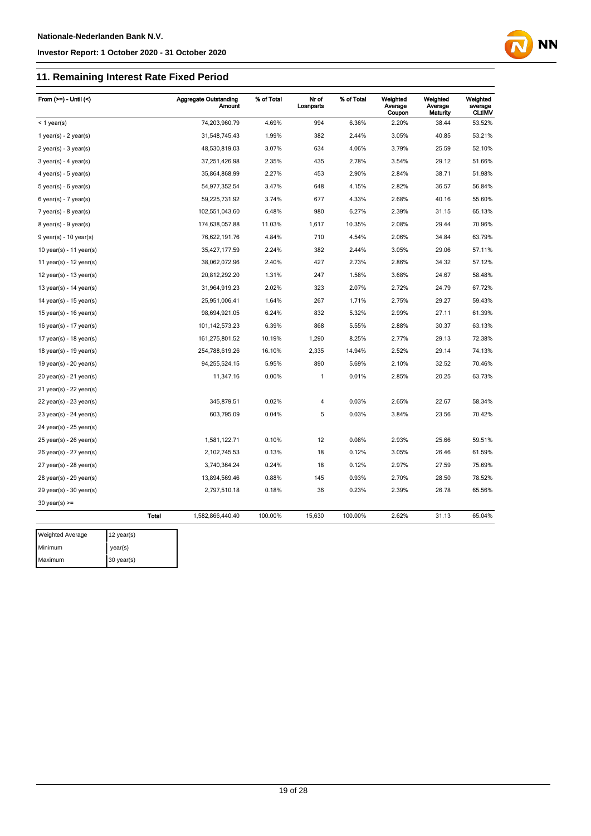## **11. Remaining Interest Rate Fixed Period**

| From $(>=)$ - Until $($     |              | <b>Aggregate Outstanding</b><br><b>Amount</b> | % of Total | Nr of<br>Loanparts | % of Total | Weighted<br>Average<br>Coupon | Weighted<br>Average<br>Maturity | Weighted<br>average<br><b>CLtIMV</b> |
|-----------------------------|--------------|-----------------------------------------------|------------|--------------------|------------|-------------------------------|---------------------------------|--------------------------------------|
| $<$ 1 year(s)               |              | 74,203,960.79                                 | 4.69%      | 994                | 6.36%      | 2.20%                         | 38.44                           | 53.52%                               |
| 1 year(s) - $2$ year(s)     |              | 31,548,745.43                                 | 1.99%      | 382                | 2.44%      | 3.05%                         | 40.85                           | 53.21%                               |
| $2$ year(s) - $3$ year(s)   |              | 48,530,819.03                                 | 3.07%      | 634                | 4.06%      | 3.79%                         | 25.59                           | 52.10%                               |
| $3$ year(s) - 4 year(s)     |              | 37,251,426.98                                 | 2.35%      | 435                | 2.78%      | 3.54%                         | 29.12                           | 51.66%                               |
| 4 year(s) - 5 year(s)       |              | 35,864,868.99                                 | 2.27%      | 453                | 2.90%      | 2.84%                         | 38.71                           | 51.98%                               |
| $5$ year(s) - 6 year(s)     |              | 54,977,352.54                                 | 3.47%      | 648                | 4.15%      | 2.82%                         | 36.57                           | 56.84%                               |
| $6$ year(s) - 7 year(s)     |              | 59,225,731.92                                 | 3.74%      | 677                | 4.33%      | 2.68%                         | 40.16                           | 55.60%                               |
| $7$ year(s) - 8 year(s)     |              | 102,551,043.60                                | 6.48%      | 980                | 6.27%      | 2.39%                         | 31.15                           | 65.13%                               |
| $8$ year(s) - $9$ year(s)   |              | 174,638,057.88                                | 11.03%     | 1,617              | 10.35%     | 2.08%                         | 29.44                           | 70.96%                               |
| $9$ year(s) - 10 year(s)    |              | 76,622,191.76                                 | 4.84%      | 710                | 4.54%      | 2.06%                         | 34.84                           | 63.79%                               |
| 10 year(s) - 11 year(s)     |              | 35,427,177.59                                 | 2.24%      | 382                | 2.44%      | 3.05%                         | 29.06                           | 57.11%                               |
| 11 year(s) - $12$ year(s)   |              | 38,062,072.96                                 | 2.40%      | 427                | 2.73%      | 2.86%                         | 34.32                           | 57.12%                               |
| 12 year(s) - 13 year(s)     |              | 20,812,292.20                                 | 1.31%      | 247                | 1.58%      | 3.68%                         | 24.67                           | 58.48%                               |
| 13 year(s) - 14 year(s)     |              | 31,964,919.23                                 | 2.02%      | 323                | 2.07%      | 2.72%                         | 24.79                           | 67.72%                               |
| 14 year(s) - $15$ year(s)   |              | 25,951,006.41                                 | 1.64%      | 267                | 1.71%      | 2.75%                         | 29.27                           | 59.43%                               |
| 15 year(s) - 16 year(s)     |              | 98,694,921.05                                 | 6.24%      | 832                | 5.32%      | 2.99%                         | 27.11                           | 61.39%                               |
| 16 year(s) - 17 year(s)     |              | 101,142,573.23                                | 6.39%      | 868                | 5.55%      | 2.88%                         | 30.37                           | 63.13%                               |
| 17 year(s) - $18$ year(s)   |              | 161,275,801.52                                | 10.19%     | 1,290              | 8.25%      | 2.77%                         | 29.13                           | 72.38%                               |
| 18 year(s) - 19 year(s)     |              | 254,788,619.26                                | 16.10%     | 2,335              | 14.94%     | 2.52%                         | 29.14                           | 74.13%                               |
| 19 year(s) - 20 year(s)     |              | 94,255,524.15                                 | 5.95%      | 890                | 5.69%      | 2.10%                         | 32.52                           | 70.46%                               |
| 20 year(s) - 21 year(s)     |              | 11,347.16                                     | 0.00%      | 1                  | 0.01%      | 2.85%                         | 20.25                           | 63.73%                               |
| $21$ year(s) - 22 year(s)   |              |                                               |            |                    |            |                               |                                 |                                      |
| 22 year(s) - 23 year(s)     |              | 345,879.51                                    | 0.02%      | 4                  | 0.03%      | 2.65%                         | 22.67                           | 58.34%                               |
| 23 year(s) - 24 year(s)     |              | 603,795.09                                    | 0.04%      | 5                  | 0.03%      | 3.84%                         | 23.56                           | 70.42%                               |
| $24$ year(s) - $25$ year(s) |              |                                               |            |                    |            |                               |                                 |                                      |
| $25$ year(s) - $26$ year(s) |              | 1,581,122.71                                  | 0.10%      | 12                 | 0.08%      | 2.93%                         | 25.66                           | 59.51%                               |
| 26 year(s) - 27 year(s)     |              | 2,102,745.53                                  | 0.13%      | 18                 | 0.12%      | 3.05%                         | 26.46                           | 61.59%                               |
| $27$ year(s) - $28$ year(s) |              | 3,740,364.24                                  | 0.24%      | 18                 | 0.12%      | 2.97%                         | 27.59                           | 75.69%                               |
| $28$ year(s) - $29$ year(s) |              | 13,894,569.46                                 | 0.88%      | 145                | 0.93%      | 2.70%                         | 28.50                           | 78.52%                               |
| 29 year(s) - 30 year(s)     |              | 2,797,510.18                                  | 0.18%      | 36                 | 0.23%      | 2.39%                         | 26.78                           | 65.56%                               |
| $30$ year(s) $>=$           |              |                                               |            |                    |            |                               |                                 |                                      |
|                             | <b>Total</b> | 1,582,866,440.40                              | 100.00%    | 15,630             | 100.00%    | 2.62%                         | 31.13                           | 65.04%                               |
| Weighted Average            | 12 year(s)   |                                               |            |                    |            |                               |                                 |                                      |

**NN** 

Minimum year(s) Maximum 30 year(s)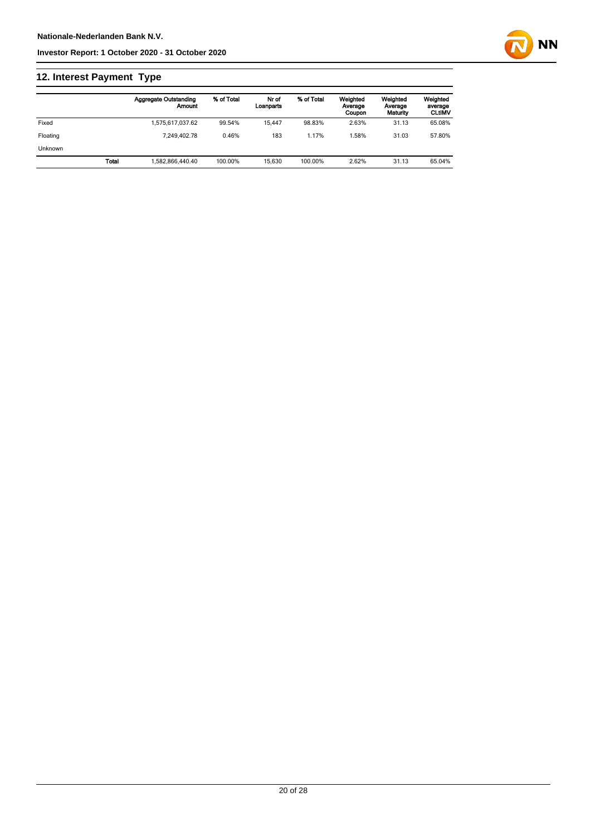## **12. Interest Payment Type**

|                |       | <b>Aggregate Outstanding</b><br>Amount | % of Total | Nr of<br>Loanparts | % of Total | Weighted<br>Average<br>Coupon | Weighted<br>Average<br>Maturity | Weighted<br>average<br><b>CLtIMV</b> |
|----------------|-------|----------------------------------------|------------|--------------------|------------|-------------------------------|---------------------------------|--------------------------------------|
| Fixed          |       | 1.575.617.037.62                       | 99.54%     | 15.447             | 98.83%     | 2.63%                         | 31.13                           | 65.08%                               |
| Floating       |       | 7.249.402.78                           | 0.46%      | 183                | 1.17%      | .58%                          | 31.03                           | 57.80%                               |
| <b>Unknown</b> |       |                                        |            |                    |            |                               |                                 |                                      |
|                | Total | 1.582.866.440.40                       | 100.00%    | 15.630             | 100.00%    | 2.62%                         | 31.13                           | 65.04%                               |

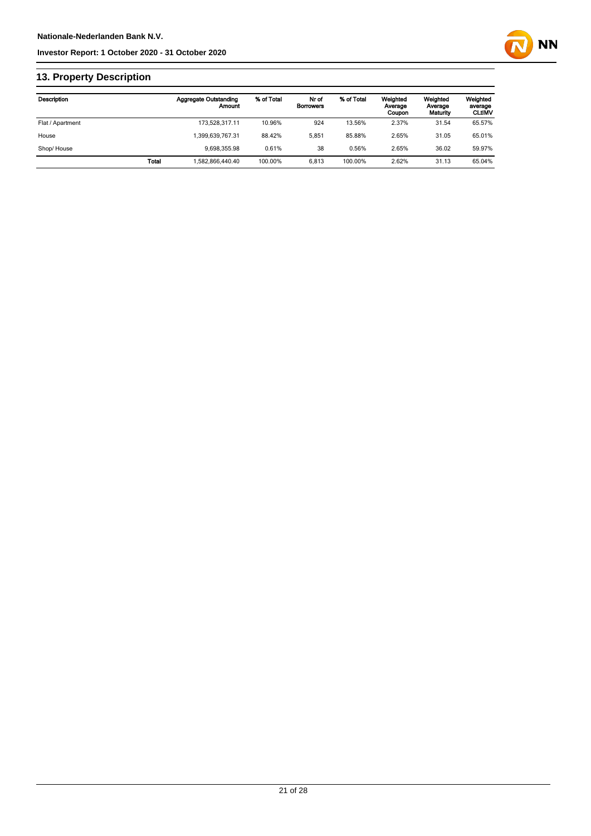

## **13. Property Description**

| Description      |       | <b>Aggregate Outstanding</b><br>Amount | % of Total | Nr of<br><b>Borrowers</b> | % of Total | Weighted<br>Average<br>Coupon | Weighted<br>Average<br>Maturity | Weighted<br>average<br><b>CLtIMV</b> |
|------------------|-------|----------------------------------------|------------|---------------------------|------------|-------------------------------|---------------------------------|--------------------------------------|
| Flat / Apartment |       | 173,528,317.11                         | 10.96%     | 924                       | 13.56%     | 2.37%                         | 31.54                           | 65.57%                               |
| House            |       | 1,399,639,767.31                       | 88.42%     | 5.851                     | 85.88%     | 2.65%                         | 31.05                           | 65.01%                               |
| Shop/House       |       | 9.698.355.98                           | 0.61%      | 38                        | 0.56%      | 2.65%                         | 36.02                           | 59.97%                               |
|                  | Total | 1,582,866,440.40                       | 100.00%    | 6.813                     | 100.00%    | 2.62%                         | 31.13                           | 65.04%                               |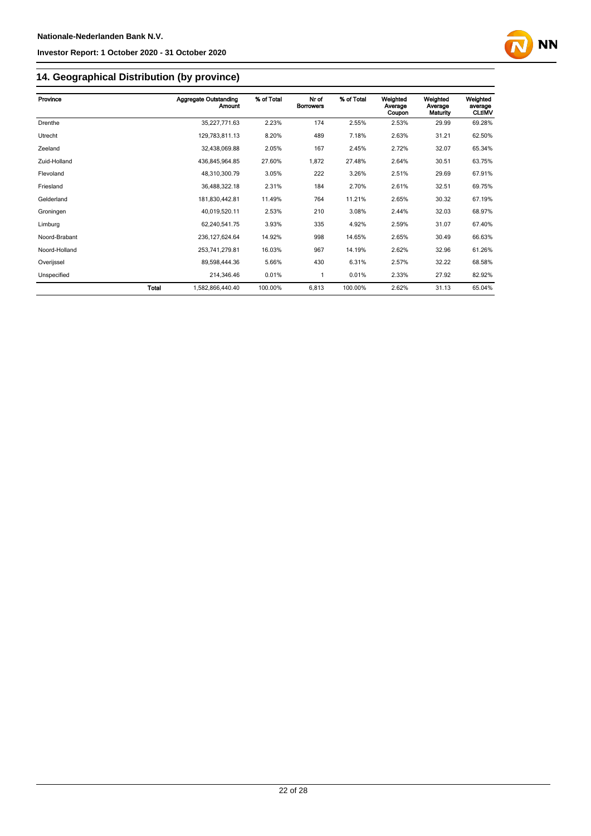

## **14. Geographical Distribution (by province)**

| Province      |       | <b>Aggregate Outstanding</b><br><b>Amount</b> | % of Total | Nr of<br><b>Borrowers</b> | % of Total | Weighted<br>Average | Weighted<br>Average | Weighted<br>average |
|---------------|-------|-----------------------------------------------|------------|---------------------------|------------|---------------------|---------------------|---------------------|
|               |       |                                               |            |                           |            | Coupon              | Maturity            | <b>CLtIMV</b>       |
| Drenthe       |       | 35,227,771.63                                 | 2.23%      | 174                       | 2.55%      | 2.53%               | 29.99               | 69.28%              |
| Utrecht       |       | 129,783,811.13                                | 8.20%      | 489                       | 7.18%      | 2.63%               | 31.21               | 62.50%              |
| Zeeland       |       | 32,438,069.88                                 | 2.05%      | 167                       | 2.45%      | 2.72%               | 32.07               | 65.34%              |
| Zuid-Holland  |       | 436,845,964.85                                | 27.60%     | 1,872                     | 27.48%     | 2.64%               | 30.51               | 63.75%              |
| Flevoland     |       | 48,310,300.79                                 | 3.05%      | 222                       | 3.26%      | 2.51%               | 29.69               | 67.91%              |
| Friesland     |       | 36,488,322.18                                 | 2.31%      | 184                       | 2.70%      | 2.61%               | 32.51               | 69.75%              |
| Gelderland    |       | 181,830,442.81                                | 11.49%     | 764                       | 11.21%     | 2.65%               | 30.32               | 67.19%              |
| Groningen     |       | 40,019,520.11                                 | 2.53%      | 210                       | 3.08%      | 2.44%               | 32.03               | 68.97%              |
| Limburg       |       | 62,240,541.75                                 | 3.93%      | 335                       | 4.92%      | 2.59%               | 31.07               | 67.40%              |
| Noord-Brabant |       | 236, 127, 624.64                              | 14.92%     | 998                       | 14.65%     | 2.65%               | 30.49               | 66.63%              |
| Noord-Holland |       | 253,741,279.81                                | 16.03%     | 967                       | 14.19%     | 2.62%               | 32.96               | 61.26%              |
| Overijssel    |       | 89,598,444.36                                 | 5.66%      | 430                       | 6.31%      | 2.57%               | 32.22               | 68.58%              |
| Unspecified   |       | 214,346.46                                    | 0.01%      | 1                         | 0.01%      | 2.33%               | 27.92               | 82.92%              |
|               | Total | 1,582,866,440.40                              | 100.00%    | 6,813                     | 100.00%    | 2.62%               | 31.13               | 65.04%              |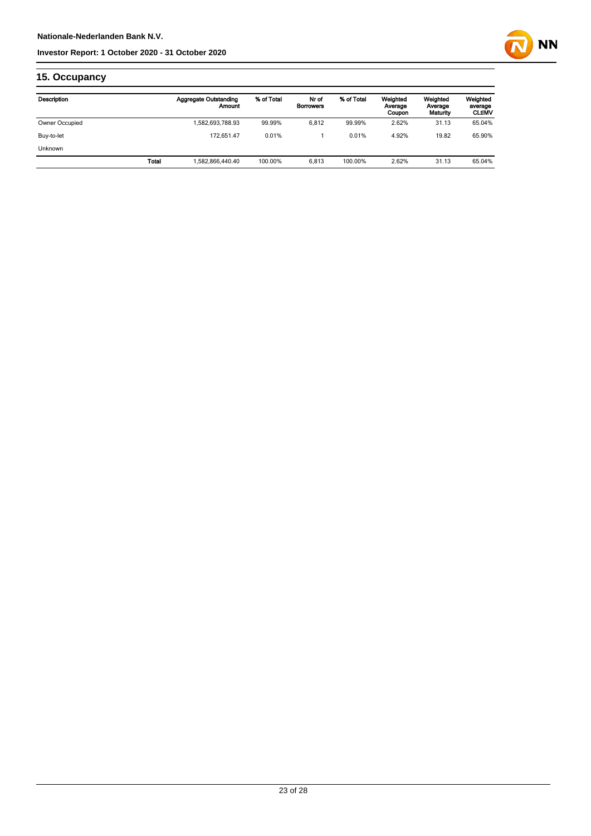

## **15. Occupancy**

| Description    |       | <b>Aggregate Outstanding</b><br>Amount | % of Total | Nr of<br><b>Borrowers</b> | % of Total | Weighted<br>Average<br>Coupon | Weighted<br>Average<br>Maturity | Weighted<br>average<br><b>CLUMV</b> |
|----------------|-------|----------------------------------------|------------|---------------------------|------------|-------------------------------|---------------------------------|-------------------------------------|
| Owner Occupied |       | 1,582,693,788.93                       | 99.99%     | 6.812                     | 99.99%     | 2.62%                         | 31.13                           | 65.04%                              |
| Buy-to-let     |       | 172.651.47                             | 0.01%      |                           | 0.01%      | 4.92%                         | 19.82                           | 65.90%                              |
| Unknown        |       |                                        |            |                           |            |                               |                                 |                                     |
|                | Total | 1,582,866,440.40                       | 100.00%    | 6.813                     | 100.00%    | 2.62%                         | 31.13                           | 65.04%                              |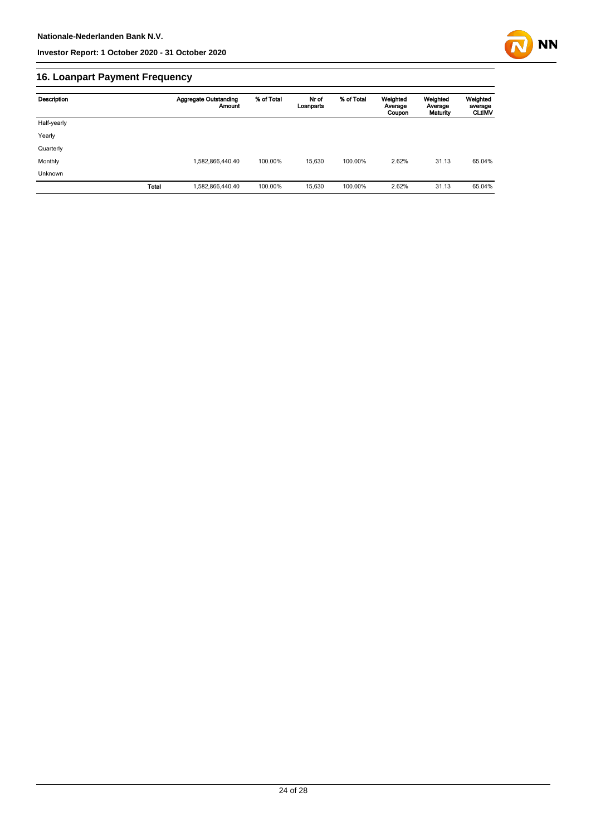

## **16. Loanpart Payment Frequency**

| Description  | <b>Aggregate Outstanding</b><br>Amount | % of Total | Nr of<br>Loanparts | % of Total | Weighted<br>Average<br>Coupon | Weighted<br>Average<br>Maturity | Weighted<br>average<br><b>CLUMV</b> |
|--------------|----------------------------------------|------------|--------------------|------------|-------------------------------|---------------------------------|-------------------------------------|
| Half-yearly  |                                        |            |                    |            |                               |                                 |                                     |
| Yearly       |                                        |            |                    |            |                               |                                 |                                     |
| Quarterly    |                                        |            |                    |            |                               |                                 |                                     |
| Monthly      | 1,582,866,440.40                       | 100.00%    | 15,630             | 100.00%    | 2.62%                         | 31.13                           | 65.04%                              |
| Unknown      |                                        |            |                    |            |                               |                                 |                                     |
| <b>Total</b> | 1,582,866,440.40                       | 100.00%    | 15,630             | 100.00%    | 2.62%                         | 31.13                           | 65.04%                              |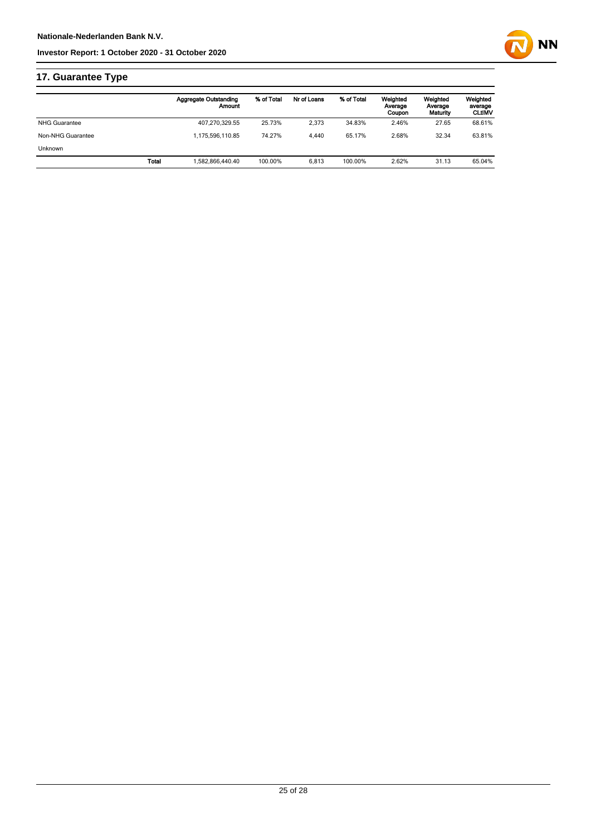

## **17. Guarantee Type**

|                      | <b>Aggregate Outstanding</b><br>Amount | % of Total | Nr of Loans | % of Total | Weighted<br>Average<br>Coupon | Weighted<br>Average<br>Maturity | Weighted<br>average<br><b>CLtIMV</b> |
|----------------------|----------------------------------------|------------|-------------|------------|-------------------------------|---------------------------------|--------------------------------------|
| <b>NHG Guarantee</b> | 407.270.329.55                         | 25.73%     | 2.373       | 34.83%     | 2.46%                         | 27.65                           | 68.61%                               |
| Non-NHG Guarantee    | 1.175.596.110.85                       | 74.27%     | 4.440       | 65.17%     | 2.68%                         | 32.34                           | 63.81%                               |
| <b>Unknown</b>       |                                        |            |             |            |                               |                                 |                                      |
|                      | Total<br>.582.866.440.40               | 100.00%    | 6.813       | 100.00%    | 2.62%                         | 31.13                           | 65.04%                               |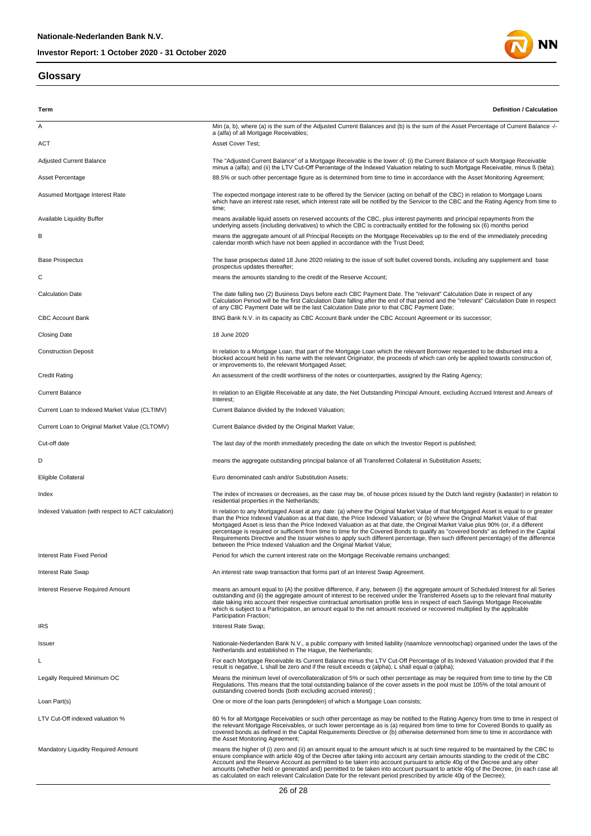#### **Glossary**



**Term Definition / Calculation** A Min (a, b), where (a) is the sum of the Adjusted Current Balances and (b) is the sum of the Asset Percentage of Current Balance -/a (alfa) of all Mortgage Receivables; ACT Asset Cover Test; Adjusted Current Balance Mortgage Receivable (Adjusted Current Balance" of a Mortgage Receivable is the lower of: (i) the Current Balance of such Mortgage Receivable<br>minus a (alfa); and (ii) the LTV Cut-Off Percentage of t Asset Percentage entity and the S8.5% or such other percentage figure as is determined from time to time in accordance with the Asset Monitoring Agreement; Assumed Mortgage Interest Rate The expected mortgage interest rate to be offered by the Servicer (acting on behalf of the CBC) in relation to Mortgage Loans which have an interest rate reset, which interest rate will be notified by the Servicer to the CBC and the Rating Agency from time to time; means available liquid assets on reserved accounts of the CBC, plus interest payments and principal repayments from the<br>underlying assets (including derivatives) to which the CBC is contractually entitled for the following B means the aggregate amount of all Principal Receipts on the Mortgage Receivables up to the end of the immediately preceding calendar month which have not been applied in accordance with the Trust Deed; Base Prospectus The base prospectus dated 18 June 2020 relating to the issue of soft bullet covered bonds, including any supplement and base prospectus updates thereafter; C means the amounts standing to the credit of the Reserve Account; The date falling two (2) Business Days before each CBC Payment Date. The "relevant" Calculation Date in respect of any<br>Calculation Period will be the first Calculation Date falling after the end of that period and the "rel of any CBC Payment Date will be the last Calculation Date prior to that CBC Payment Date; CBC Account Bank Bank Book Bank BOO Bank N.V. in its capacity as CBC Account Bank under the CBC Account Agreement or its successor; Closing Date 18 June 2020 Construction Deposit **In relation to a Mortgage Loan**, that part of the Mortgage Loan which the relevant Borrower requested to be disbursed into a blocked account held in his name with the relevant Originator, the proceeds of which can only be applied towards construction of, or improvements to, the relevant Mortgaged Asset; Credit Rating **An assessment of the credit worthiness of the notes or counterparties, assigned by the Rating Agency;** Current Balance **In relation to an Eligible Receivable at any date**, the Net Outstanding Principal Amount, excluding Accrued Interest and Arrears of **Interest** Current Loan to Indexed Market Value (CLTIMV) Current Balance divided by the Indexed Valuation; Current Loan to Original Market Value (CLTOMV) Current Balance divided by the Original Market Value; Cut-off date The last day of the month immediately preceding the date on which the Investor Report is published; D means the aggregate outstanding principal balance of all Transferred Collateral in Substitution Assets; Eligible Collateral Euro denominated cash and/or Substitution Assets; Index The index of increases or decreases, as the case may be, of house prices issued by the Dutch land registry (kadaster) in relation to residential properties in the Netherlands; In relation to any Mortgaged Asset at any date: (a) where the Original Market Value of that Mortgaged Asset is equal to or greater<br>than the Price Indexed Valuation as at that date, the Price Indexed Valuation, or (b) where percentage is required or sufficient from time to time for the Covered Bonds to qualify as "covered bonds" as defined in the Capital<br>Requirements Directive and the Issuer wishes to apply such different percentage, then suc Interest Rate Fixed Period Period **Period For the Current interest rate on the Mortgage Receivable remains unchanged** Interest Rate Swap **An interest rate swap transaction that forms part of an Interest Swap Agreement.** Interest Reserve Required Amount (A) the positive difference, if any, between (i) the aggregate amount of Scheduled Interest for all Series<br>outstanding and (ii) the aggregate amount of interest to be received under the str which is subject to a Participation, an amount equal to the net amount received or recovered multiplied by the applicable when is subject to a t **IRS** IRS Interest Rate Swap; Issuer the Nationale-Nederlanden Bank N.V., a public company with limited liability (naamloze vennootschap) organised under the laws of the Netherlands and established in The Hague, the Netherlands; For each Mortgage Receivable its Current Balance minus the LTV Cut-Off Percentage of its Indexed Valuation provided that if the result is negative, L shall be zero and if the result exceeds α (alpha), L shall equal α (alpha); Legally Required Minimum OC Means the minimum level of overcollateralization of 5% or such other percentage as may be required from time to time by the CB Regulations. This means that the total outstanding balance of the cover assets in the pool must be 105% of the total amount of outstanding covered bonds (both excluding accrued interest) ; Loan Part(s) **Community** Community Communists; One or more of the loan parts (leningdelen) of which a Mortgage Loan consists; 80% for all Mortgage Receivables or such other percentage as may be notified to the Rating Agency from time to time in respect of<br>the relevant Mortgage Receivables, or such lower percentage as is (a) required from time to covered bonds as defined in the Capital Requirements Directive or (b) otherwise determined from time to time in accordance with the Asset Monitoring Agreement; Mandatory Liquidity Required Amount<br>ensure compliance with article 40g of the change incompliance with a mount which is at such time required to be maintained by the CBC to<br>ensure compliance with article 40g of the Serve a

as calculated on each relevant Calculation Date for the relevant period prescribed by article 40g of the Decree);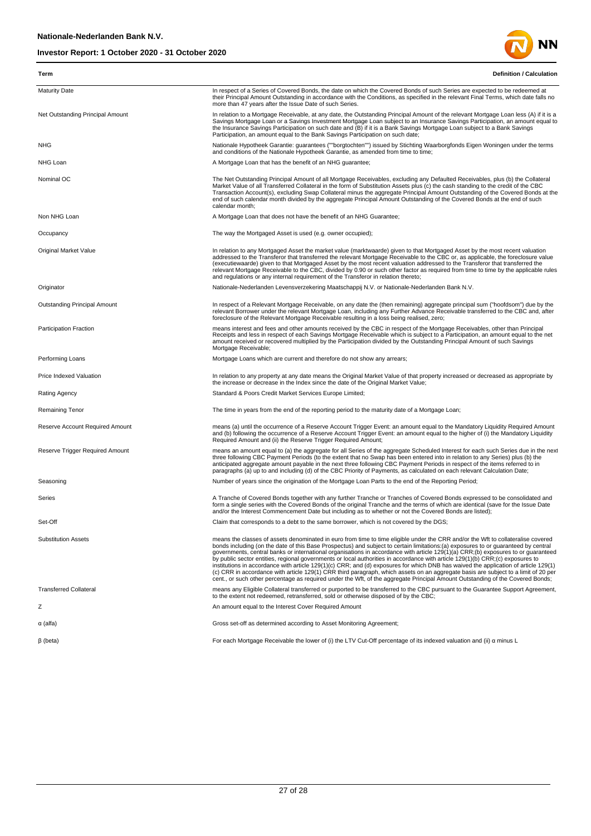

| Term                             | <b>Definition / Calculation</b>                                                                                                                                                                                                                                                                                                                                                                                                                                                                                                                                                                                                                                                                                                                                                                                                                                                                                                                              |
|----------------------------------|--------------------------------------------------------------------------------------------------------------------------------------------------------------------------------------------------------------------------------------------------------------------------------------------------------------------------------------------------------------------------------------------------------------------------------------------------------------------------------------------------------------------------------------------------------------------------------------------------------------------------------------------------------------------------------------------------------------------------------------------------------------------------------------------------------------------------------------------------------------------------------------------------------------------------------------------------------------|
| <b>Maturity Date</b>             | In respect of a Series of Covered Bonds, the date on which the Covered Bonds of such Series are expected to be redeemed at<br>their Principal Amount Outstanding in accordance with the Conditions, as specified in the relevant Final Terms, which date falls no<br>more than 47 years after the Issue Date of such Series.                                                                                                                                                                                                                                                                                                                                                                                                                                                                                                                                                                                                                                 |
| Net Outstanding Principal Amount | In relation to a Mortgage Receivable, at any date, the Outstanding Principal Amount of the relevant Mortgage Loan less (A) if it is a<br>Savings Mortgage Loan or a Savings Investment Mortgage Loan subject to an Insurance Savings Participation, an amount equal to<br>the Insurance Savings Participation on such date and (B) if it is a Bank Savings Mortgage Loan subject to a Bank Savings<br>Participation, an amount equal to the Bank Savings Participation on such date;                                                                                                                                                                                                                                                                                                                                                                                                                                                                         |
| <b>NHG</b>                       | Nationale Hypotheek Garantie: guarantees (""borgtochten"") issued by Stichting Waarborgfonds Eigen Woningen under the terms<br>and conditions of the Nationale Hypotheek Garantie, as amended from time to time;                                                                                                                                                                                                                                                                                                                                                                                                                                                                                                                                                                                                                                                                                                                                             |
| NHG Loan                         | A Mortgage Loan that has the benefit of an NHG guarantee;                                                                                                                                                                                                                                                                                                                                                                                                                                                                                                                                                                                                                                                                                                                                                                                                                                                                                                    |
| Nominal OC                       | The Net Outstanding Principal Amount of all Mortgage Receivables, excluding any Defaulted Receivables, plus (b) the Collateral<br>Market Value of all Transferred Collateral in the form of Substitution Assets plus (c) the cash standing to the credit of the CBC<br>Transaction Account(s), excluding Swap Collateral minus the aggregate Principal Amount Outstanding of the Covered Bonds at the<br>end of such calendar month divided by the aggregate Principal Amount Outstanding of the Covered Bonds at the end of such<br>calendar month;                                                                                                                                                                                                                                                                                                                                                                                                         |
| Non NHG Loan                     | A Mortgage Loan that does not have the benefit of an NHG Guarantee;                                                                                                                                                                                                                                                                                                                                                                                                                                                                                                                                                                                                                                                                                                                                                                                                                                                                                          |
| Occupancy                        | The way the Mortgaged Asset is used (e.g. owner occupied);                                                                                                                                                                                                                                                                                                                                                                                                                                                                                                                                                                                                                                                                                                                                                                                                                                                                                                   |
| <b>Original Market Value</b>     | In relation to any Mortgaged Asset the market value (marktwaarde) given to that Mortgaged Asset by the most recent valuation<br>addressed to the Transferor that transferred the relevant Mortgage Receivable to the CBC or, as applicable, the foreclosure value<br>(executiewaarde) given to that Mortgaged Asset by the most recent valuation addressed to the Transferor that transferred the<br>relevant Mortgage Receivable to the CBC, divided by 0.90 or such other factor as required from time to time by the applicable rules<br>and regulations or any internal requirement of the Transferor in relation thereto;                                                                                                                                                                                                                                                                                                                               |
| Originator                       | Nationale-Nederlanden Levensverzekering Maatschappij N.V. or Nationale-Nederlanden Bank N.V.                                                                                                                                                                                                                                                                                                                                                                                                                                                                                                                                                                                                                                                                                                                                                                                                                                                                 |
| Outstanding Principal Amount     | In respect of a Relevant Mortgage Receivable, on any date the (then remaining) aggregate principal sum ("hoofdsom") due by the<br>relevant Borrower under the relevant Mortgage Loan, including any Further Advance Receivable transferred to the CBC and, after<br>foreclosure of the Relevant Mortgage Receivable resulting in a loss being realised, zero;                                                                                                                                                                                                                                                                                                                                                                                                                                                                                                                                                                                                |
| Participation Fraction           | means interest and fees and other amounts received by the CBC in respect of the Mortgage Receivables, other than Principal<br>Receipts and less in respect of each Savings Mortgage Receivable which is subject to a Participation, an amount equal to the net<br>amount received or recovered multiplied by the Participation divided by the Outstanding Principal Amount of such Savings<br>Mortgage Receivable;                                                                                                                                                                                                                                                                                                                                                                                                                                                                                                                                           |
| Performing Loans                 | Mortgage Loans which are current and therefore do not show any arrears;                                                                                                                                                                                                                                                                                                                                                                                                                                                                                                                                                                                                                                                                                                                                                                                                                                                                                      |
| Price Indexed Valuation          | In relation to any property at any date means the Original Market Value of that property increased or decreased as appropriate by<br>the increase or decrease in the Index since the date of the Original Market Value;                                                                                                                                                                                                                                                                                                                                                                                                                                                                                                                                                                                                                                                                                                                                      |
| <b>Rating Agency</b>             | Standard & Poors Credit Market Services Europe Limited;                                                                                                                                                                                                                                                                                                                                                                                                                                                                                                                                                                                                                                                                                                                                                                                                                                                                                                      |
| Remaining Tenor                  | The time in years from the end of the reporting period to the maturity date of a Mortgage Loan;                                                                                                                                                                                                                                                                                                                                                                                                                                                                                                                                                                                                                                                                                                                                                                                                                                                              |
| Reserve Account Required Amount  | means (a) until the occurrence of a Reserve Account Trigger Event: an amount equal to the Mandatory Liquidity Required Amount<br>and (b) following the occurrence of a Reserve Account Trigger Event: an amount equal to the higher of (i) the Mandatory Liquidity<br>Required Amount and (ii) the Reserve Trigger Required Amount;                                                                                                                                                                                                                                                                                                                                                                                                                                                                                                                                                                                                                          |
| Reserve Trigger Required Amount  | means an amount equal to (a) the aggregate for all Series of the aggregate Scheduled Interest for each such Series due in the next<br>three following CBC Payment Periods (to the extent that no Swap has been entered into in relation to any Series) plus (b) the<br>anticipated aggregate amount payable in the next three following CBC Payment Periods in respect of the items referred to in<br>paragraphs (a) up to and including (d) of the CBC Priority of Payments, as calculated on each relevant Calculation Date;                                                                                                                                                                                                                                                                                                                                                                                                                               |
| Seasoning                        | Number of years since the origination of the Mortgage Loan Parts to the end of the Reporting Period;                                                                                                                                                                                                                                                                                                                                                                                                                                                                                                                                                                                                                                                                                                                                                                                                                                                         |
| Series                           | A Tranche of Covered Bonds together with any further Tranche or Tranches of Covered Bonds expressed to be consolidated and<br>form a single series with the Covered Bonds of the original Tranche and the terms of which are identical (save for the Issue Date<br>and/or the Interest Commencement Date but including as to whether or not the Covered Bonds are listed);                                                                                                                                                                                                                                                                                                                                                                                                                                                                                                                                                                                   |
| Set-Off                          | Claim that corresponds to a debt to the same borrower, which is not covered by the DGS;                                                                                                                                                                                                                                                                                                                                                                                                                                                                                                                                                                                                                                                                                                                                                                                                                                                                      |
| <b>Substitution Assets</b>       | means the classes of assets denominated in euro from time to time eligible under the CRR and/or the Wft to collateralise covered<br>bonds including (on the date of this Base Prospectus) and subject to certain limitations:(a) exposures to or guaranteed by central<br>governments, central banks or international organisations in accordance with article 129(1)(a) CRR;(b) exposures to or quaranteed<br>by public sector entities, regional governments or local authorities in accordance with article 129(1)(b) CRR;(c) exposures to<br>institutions in accordance with article 129(1)(c) CRR; and (d) exposures for which DNB has waived the application of article 129(1)<br>(c) CRR in accordance with article 129(1) CRR third paragraph, which assets on an aggregate basis are subject to a limit of 20 per<br>cent., or such other percentage as required under the Wft, of the aggregate Principal Amount Outstanding of the Covered Bonds; |
| <b>Transferred Collateral</b>    | means any Eligible Collateral transferred or purported to be transferred to the CBC pursuant to the Guarantee Support Agreement,<br>to the extent not redeemed, retransferred, sold or otherwise disposed of by the CBC;                                                                                                                                                                                                                                                                                                                                                                                                                                                                                                                                                                                                                                                                                                                                     |
| Ζ                                | An amount equal to the Interest Cover Required Amount                                                                                                                                                                                                                                                                                                                                                                                                                                                                                                                                                                                                                                                                                                                                                                                                                                                                                                        |
| $\alpha$ (alfa)                  | Gross set-off as determined according to Asset Monitoring Agreement;                                                                                                                                                                                                                                                                                                                                                                                                                                                                                                                                                                                                                                                                                                                                                                                                                                                                                         |
| $\beta$ (beta)                   | For each Mortgage Receivable the lower of (i) the LTV Cut-Off percentage of its indexed valuation and (ii) a minus L                                                                                                                                                                                                                                                                                                                                                                                                                                                                                                                                                                                                                                                                                                                                                                                                                                         |